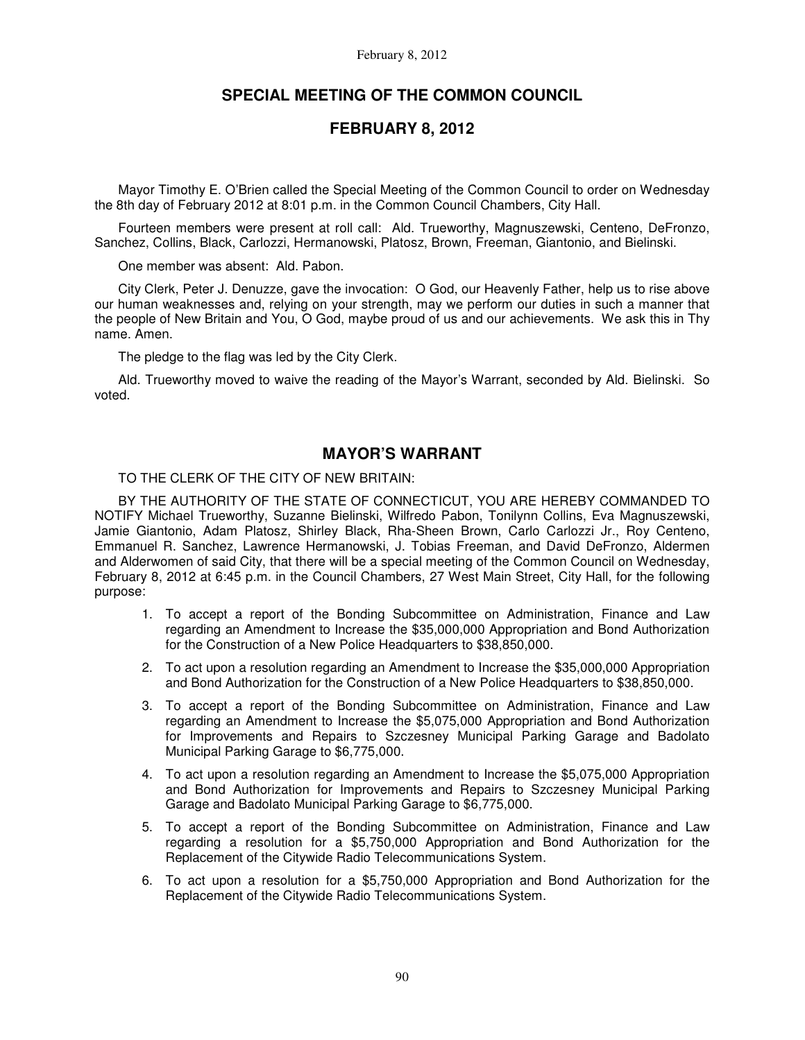# **SPECIAL MEETING OF THE COMMON COUNCIL**

# **FEBRUARY 8, 2012**

Mayor Timothy E. O'Brien called the Special Meeting of the Common Council to order on Wednesday the 8th day of February 2012 at 8:01 p.m. in the Common Council Chambers, City Hall.

Fourteen members were present at roll call: Ald. Trueworthy, Magnuszewski, Centeno, DeFronzo, Sanchez, Collins, Black, Carlozzi, Hermanowski, Platosz, Brown, Freeman, Giantonio, and Bielinski.

One member was absent: Ald. Pabon.

City Clerk, Peter J. Denuzze, gave the invocation: O God, our Heavenly Father, help us to rise above our human weaknesses and, relying on your strength, may we perform our duties in such a manner that the people of New Britain and You, O God, maybe proud of us and our achievements. We ask this in Thy name. Amen.

The pledge to the flag was led by the City Clerk.

Ald. Trueworthy moved to waive the reading of the Mayor's Warrant, seconded by Ald. Bielinski. So voted.

# **MAYOR'S WARRANT**

## TO THE CLERK OF THE CITY OF NEW BRITAIN:

BY THE AUTHORITY OF THE STATE OF CONNECTICUT, YOU ARE HEREBY COMMANDED TO NOTIFY Michael Trueworthy, Suzanne Bielinski, Wilfredo Pabon, Tonilynn Collins, Eva Magnuszewski, Jamie Giantonio, Adam Platosz, Shirley Black, Rha-Sheen Brown, Carlo Carlozzi Jr., Roy Centeno, Emmanuel R. Sanchez, Lawrence Hermanowski, J. Tobias Freeman, and David DeFronzo, Aldermen and Alderwomen of said City, that there will be a special meeting of the Common Council on Wednesday, February 8, 2012 at 6:45 p.m. in the Council Chambers, 27 West Main Street, City Hall, for the following purpose:

- 1. To accept a report of the Bonding Subcommittee on Administration, Finance and Law regarding an Amendment to Increase the \$35,000,000 Appropriation and Bond Authorization for the Construction of a New Police Headquarters to \$38,850,000.
- 2. To act upon a resolution regarding an Amendment to Increase the \$35,000,000 Appropriation and Bond Authorization for the Construction of a New Police Headquarters to \$38,850,000.
- 3. To accept a report of the Bonding Subcommittee on Administration, Finance and Law regarding an Amendment to Increase the \$5,075,000 Appropriation and Bond Authorization for Improvements and Repairs to Szczesney Municipal Parking Garage and Badolato Municipal Parking Garage to \$6,775,000.
- 4. To act upon a resolution regarding an Amendment to Increase the \$5,075,000 Appropriation and Bond Authorization for Improvements and Repairs to Szczesney Municipal Parking Garage and Badolato Municipal Parking Garage to \$6,775,000.
- 5. To accept a report of the Bonding Subcommittee on Administration, Finance and Law regarding a resolution for a \$5,750,000 Appropriation and Bond Authorization for the Replacement of the Citywide Radio Telecommunications System.
- 6. To act upon a resolution for a \$5,750,000 Appropriation and Bond Authorization for the Replacement of the Citywide Radio Telecommunications System.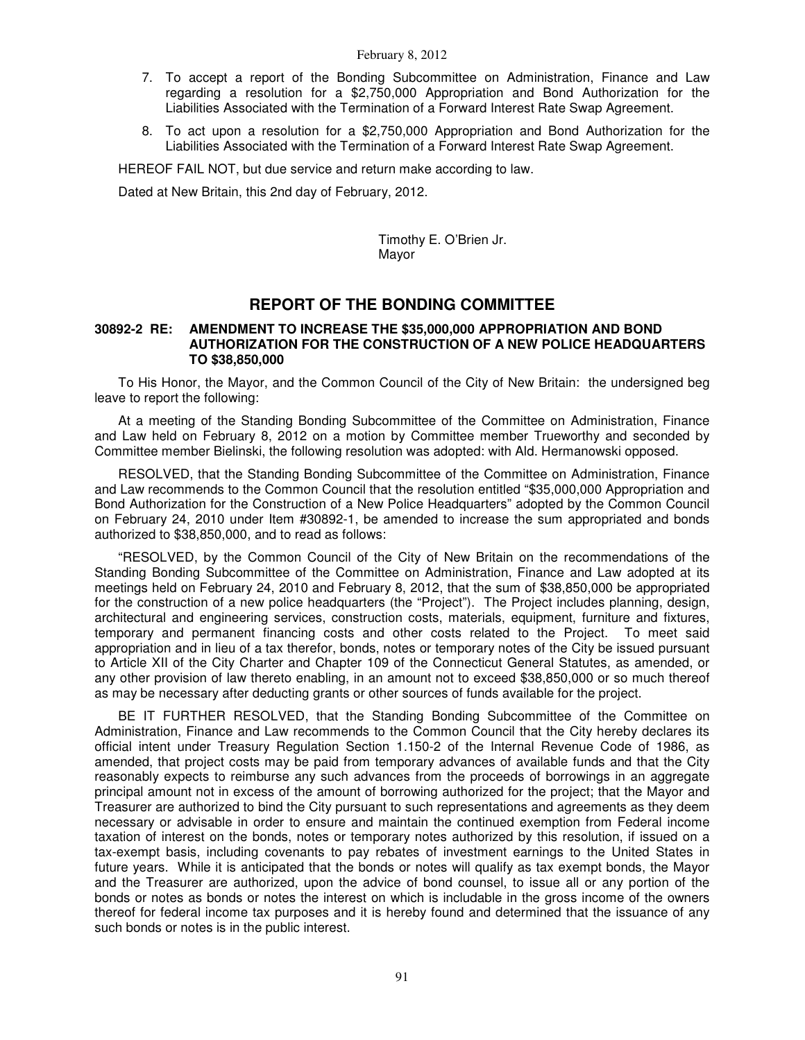- 7. To accept a report of the Bonding Subcommittee on Administration, Finance and Law regarding a resolution for a \$2,750,000 Appropriation and Bond Authorization for the Liabilities Associated with the Termination of a Forward Interest Rate Swap Agreement.
- 8. To act upon a resolution for a \$2,750,000 Appropriation and Bond Authorization for the Liabilities Associated with the Termination of a Forward Interest Rate Swap Agreement.

HEREOF FAIL NOT, but due service and return make according to law.

Dated at New Britain, this 2nd day of February, 2012.

Timothy E. O'Brien Jr. Mayor

# **REPORT OF THE BONDING COMMITTEE**

## **30892-2 RE: AMENDMENT TO INCREASE THE \$35,000,000 APPROPRIATION AND BOND AUTHORIZATION FOR THE CONSTRUCTION OF A NEW POLICE HEADQUARTERS TO \$38,850,000**

To His Honor, the Mayor, and the Common Council of the City of New Britain: the undersigned beg leave to report the following:

At a meeting of the Standing Bonding Subcommittee of the Committee on Administration, Finance and Law held on February 8, 2012 on a motion by Committee member Trueworthy and seconded by Committee member Bielinski, the following resolution was adopted: with Ald. Hermanowski opposed.

RESOLVED, that the Standing Bonding Subcommittee of the Committee on Administration, Finance and Law recommends to the Common Council that the resolution entitled "\$35,000,000 Appropriation and Bond Authorization for the Construction of a New Police Headquarters" adopted by the Common Council on February 24, 2010 under Item #30892-1, be amended to increase the sum appropriated and bonds authorized to \$38,850,000, and to read as follows:

"RESOLVED, by the Common Council of the City of New Britain on the recommendations of the Standing Bonding Subcommittee of the Committee on Administration, Finance and Law adopted at its meetings held on February 24, 2010 and February 8, 2012, that the sum of \$38,850,000 be appropriated for the construction of a new police headquarters (the "Project"). The Project includes planning, design, architectural and engineering services, construction costs, materials, equipment, furniture and fixtures, temporary and permanent financing costs and other costs related to the Project. To meet said appropriation and in lieu of a tax therefor, bonds, notes or temporary notes of the City be issued pursuant to Article XII of the City Charter and Chapter 109 of the Connecticut General Statutes, as amended, or any other provision of law thereto enabling, in an amount not to exceed \$38,850,000 or so much thereof as may be necessary after deducting grants or other sources of funds available for the project.

BE IT FURTHER RESOLVED, that the Standing Bonding Subcommittee of the Committee on Administration, Finance and Law recommends to the Common Council that the City hereby declares its official intent under Treasury Regulation Section 1.150-2 of the Internal Revenue Code of 1986, as amended, that project costs may be paid from temporary advances of available funds and that the City reasonably expects to reimburse any such advances from the proceeds of borrowings in an aggregate principal amount not in excess of the amount of borrowing authorized for the project; that the Mayor and Treasurer are authorized to bind the City pursuant to such representations and agreements as they deem necessary or advisable in order to ensure and maintain the continued exemption from Federal income taxation of interest on the bonds, notes or temporary notes authorized by this resolution, if issued on a tax-exempt basis, including covenants to pay rebates of investment earnings to the United States in future years. While it is anticipated that the bonds or notes will qualify as tax exempt bonds, the Mayor and the Treasurer are authorized, upon the advice of bond counsel, to issue all or any portion of the bonds or notes as bonds or notes the interest on which is includable in the gross income of the owners thereof for federal income tax purposes and it is hereby found and determined that the issuance of any such bonds or notes is in the public interest.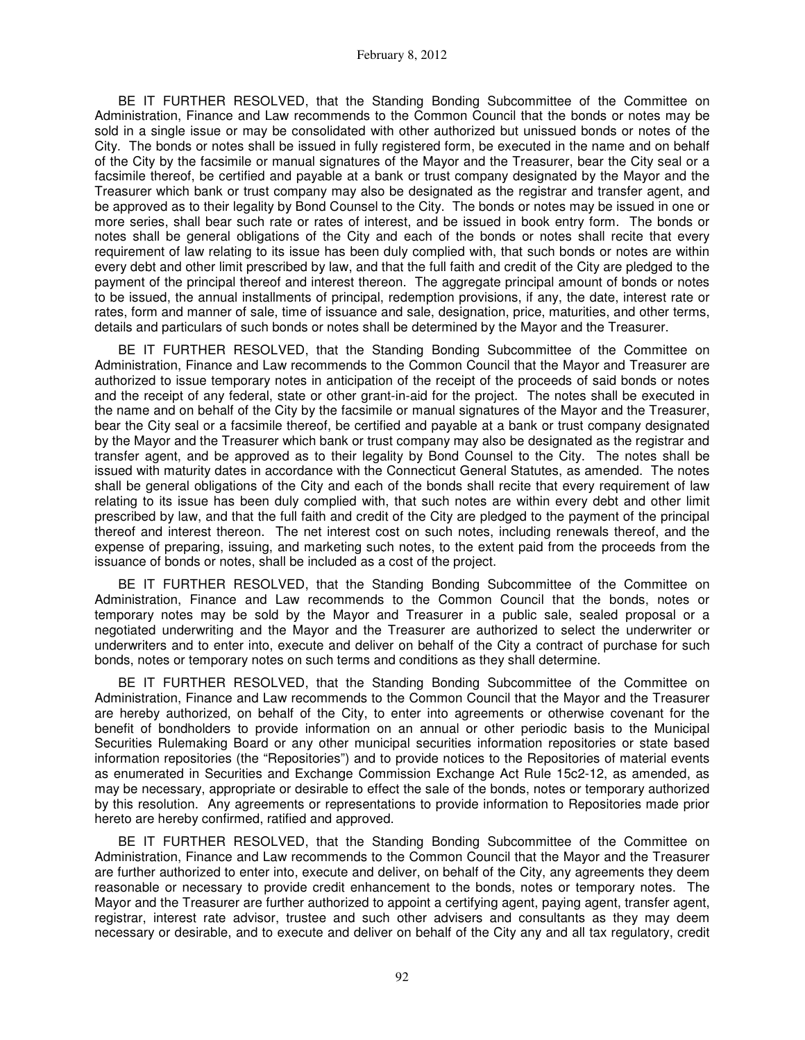BE IT FURTHER RESOLVED, that the Standing Bonding Subcommittee of the Committee on Administration, Finance and Law recommends to the Common Council that the bonds or notes may be sold in a single issue or may be consolidated with other authorized but unissued bonds or notes of the City. The bonds or notes shall be issued in fully registered form, be executed in the name and on behalf of the City by the facsimile or manual signatures of the Mayor and the Treasurer, bear the City seal or a facsimile thereof, be certified and payable at a bank or trust company designated by the Mayor and the Treasurer which bank or trust company may also be designated as the registrar and transfer agent, and be approved as to their legality by Bond Counsel to the City. The bonds or notes may be issued in one or more series, shall bear such rate or rates of interest, and be issued in book entry form. The bonds or notes shall be general obligations of the City and each of the bonds or notes shall recite that every requirement of law relating to its issue has been duly complied with, that such bonds or notes are within every debt and other limit prescribed by law, and that the full faith and credit of the City are pledged to the payment of the principal thereof and interest thereon. The aggregate principal amount of bonds or notes to be issued, the annual installments of principal, redemption provisions, if any, the date, interest rate or rates, form and manner of sale, time of issuance and sale, designation, price, maturities, and other terms, details and particulars of such bonds or notes shall be determined by the Mayor and the Treasurer.

BE IT FURTHER RESOLVED, that the Standing Bonding Subcommittee of the Committee on Administration, Finance and Law recommends to the Common Council that the Mayor and Treasurer are authorized to issue temporary notes in anticipation of the receipt of the proceeds of said bonds or notes and the receipt of any federal, state or other grant-in-aid for the project. The notes shall be executed in the name and on behalf of the City by the facsimile or manual signatures of the Mayor and the Treasurer, bear the City seal or a facsimile thereof, be certified and payable at a bank or trust company designated by the Mayor and the Treasurer which bank or trust company may also be designated as the registrar and transfer agent, and be approved as to their legality by Bond Counsel to the City. The notes shall be issued with maturity dates in accordance with the Connecticut General Statutes, as amended. The notes shall be general obligations of the City and each of the bonds shall recite that every requirement of law relating to its issue has been duly complied with, that such notes are within every debt and other limit prescribed by law, and that the full faith and credit of the City are pledged to the payment of the principal thereof and interest thereon. The net interest cost on such notes, including renewals thereof, and the expense of preparing, issuing, and marketing such notes, to the extent paid from the proceeds from the issuance of bonds or notes, shall be included as a cost of the project.

BE IT FURTHER RESOLVED, that the Standing Bonding Subcommittee of the Committee on Administration, Finance and Law recommends to the Common Council that the bonds, notes or temporary notes may be sold by the Mayor and Treasurer in a public sale, sealed proposal or a negotiated underwriting and the Mayor and the Treasurer are authorized to select the underwriter or underwriters and to enter into, execute and deliver on behalf of the City a contract of purchase for such bonds, notes or temporary notes on such terms and conditions as they shall determine.

BE IT FURTHER RESOLVED, that the Standing Bonding Subcommittee of the Committee on Administration, Finance and Law recommends to the Common Council that the Mayor and the Treasurer are hereby authorized, on behalf of the City, to enter into agreements or otherwise covenant for the benefit of bondholders to provide information on an annual or other periodic basis to the Municipal Securities Rulemaking Board or any other municipal securities information repositories or state based information repositories (the "Repositories") and to provide notices to the Repositories of material events as enumerated in Securities and Exchange Commission Exchange Act Rule 15c2-12, as amended, as may be necessary, appropriate or desirable to effect the sale of the bonds, notes or temporary authorized by this resolution. Any agreements or representations to provide information to Repositories made prior hereto are hereby confirmed, ratified and approved.

BE IT FURTHER RESOLVED, that the Standing Bonding Subcommittee of the Committee on Administration, Finance and Law recommends to the Common Council that the Mayor and the Treasurer are further authorized to enter into, execute and deliver, on behalf of the City, any agreements they deem reasonable or necessary to provide credit enhancement to the bonds, notes or temporary notes. The Mayor and the Treasurer are further authorized to appoint a certifying agent, paying agent, transfer agent, registrar, interest rate advisor, trustee and such other advisers and consultants as they may deem necessary or desirable, and to execute and deliver on behalf of the City any and all tax regulatory, credit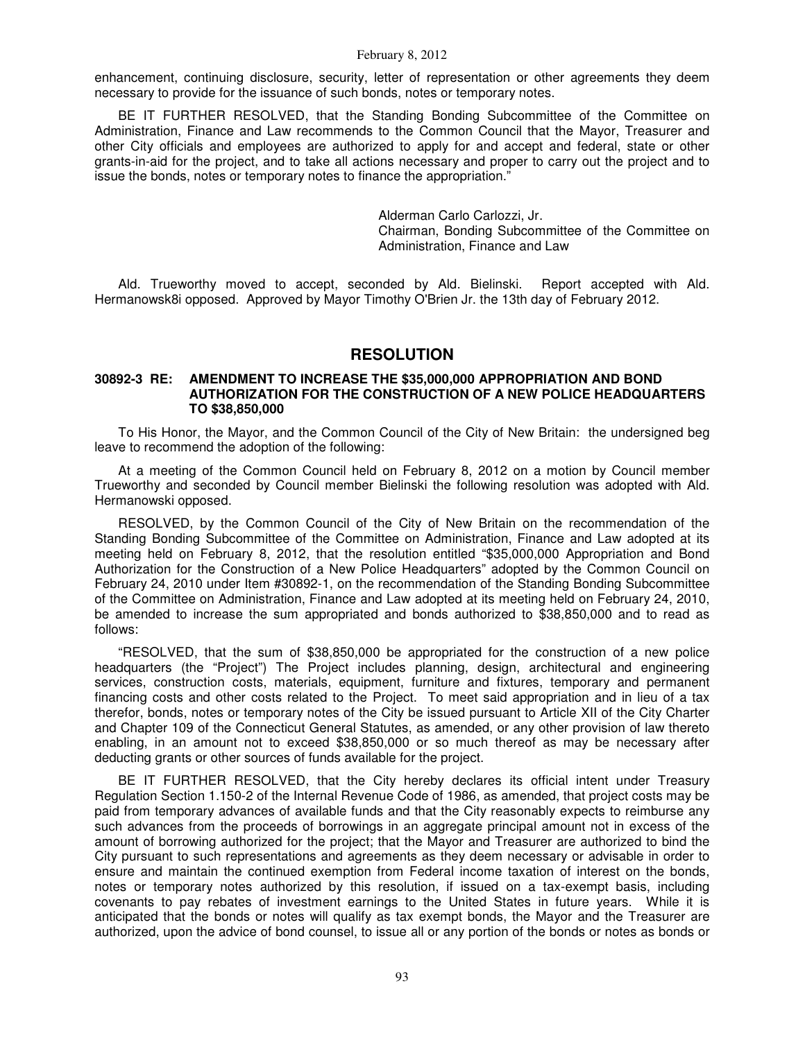enhancement, continuing disclosure, security, letter of representation or other agreements they deem necessary to provide for the issuance of such bonds, notes or temporary notes.

BE IT FURTHER RESOLVED, that the Standing Bonding Subcommittee of the Committee on Administration, Finance and Law recommends to the Common Council that the Mayor, Treasurer and other City officials and employees are authorized to apply for and accept and federal, state or other grants-in-aid for the project, and to take all actions necessary and proper to carry out the project and to issue the bonds, notes or temporary notes to finance the appropriation."

> Alderman Carlo Carlozzi, Jr. Chairman, Bonding Subcommittee of the Committee on Administration, Finance and Law

Ald. Trueworthy moved to accept, seconded by Ald. Bielinski. Report accepted with Ald. Hermanowsk8i opposed. Approved by Mayor Timothy O'Brien Jr. the 13th day of February 2012.

## **RESOLUTION**

## **30892-3 RE: AMENDMENT TO INCREASE THE \$35,000,000 APPROPRIATION AND BOND AUTHORIZATION FOR THE CONSTRUCTION OF A NEW POLICE HEADQUARTERS TO \$38,850,000**

To His Honor, the Mayor, and the Common Council of the City of New Britain: the undersigned beg leave to recommend the adoption of the following:

At a meeting of the Common Council held on February 8, 2012 on a motion by Council member Trueworthy and seconded by Council member Bielinski the following resolution was adopted with Ald. Hermanowski opposed.

RESOLVED, by the Common Council of the City of New Britain on the recommendation of the Standing Bonding Subcommittee of the Committee on Administration, Finance and Law adopted at its meeting held on February 8, 2012, that the resolution entitled "\$35,000,000 Appropriation and Bond Authorization for the Construction of a New Police Headquarters" adopted by the Common Council on February 24, 2010 under Item #30892-1, on the recommendation of the Standing Bonding Subcommittee of the Committee on Administration, Finance and Law adopted at its meeting held on February 24, 2010, be amended to increase the sum appropriated and bonds authorized to \$38,850,000 and to read as follows:

"RESOLVED, that the sum of \$38,850,000 be appropriated for the construction of a new police headquarters (the "Project") The Project includes planning, design, architectural and engineering services, construction costs, materials, equipment, furniture and fixtures, temporary and permanent financing costs and other costs related to the Project. To meet said appropriation and in lieu of a tax therefor, bonds, notes or temporary notes of the City be issued pursuant to Article XII of the City Charter and Chapter 109 of the Connecticut General Statutes, as amended, or any other provision of law thereto enabling, in an amount not to exceed \$38,850,000 or so much thereof as may be necessary after deducting grants or other sources of funds available for the project.

BE IT FURTHER RESOLVED, that the City hereby declares its official intent under Treasury Regulation Section 1.150-2 of the Internal Revenue Code of 1986, as amended, that project costs may be paid from temporary advances of available funds and that the City reasonably expects to reimburse any such advances from the proceeds of borrowings in an aggregate principal amount not in excess of the amount of borrowing authorized for the project; that the Mayor and Treasurer are authorized to bind the City pursuant to such representations and agreements as they deem necessary or advisable in order to ensure and maintain the continued exemption from Federal income taxation of interest on the bonds, notes or temporary notes authorized by this resolution, if issued on a tax-exempt basis, including covenants to pay rebates of investment earnings to the United States in future years. While it is anticipated that the bonds or notes will qualify as tax exempt bonds, the Mayor and the Treasurer are authorized, upon the advice of bond counsel, to issue all or any portion of the bonds or notes as bonds or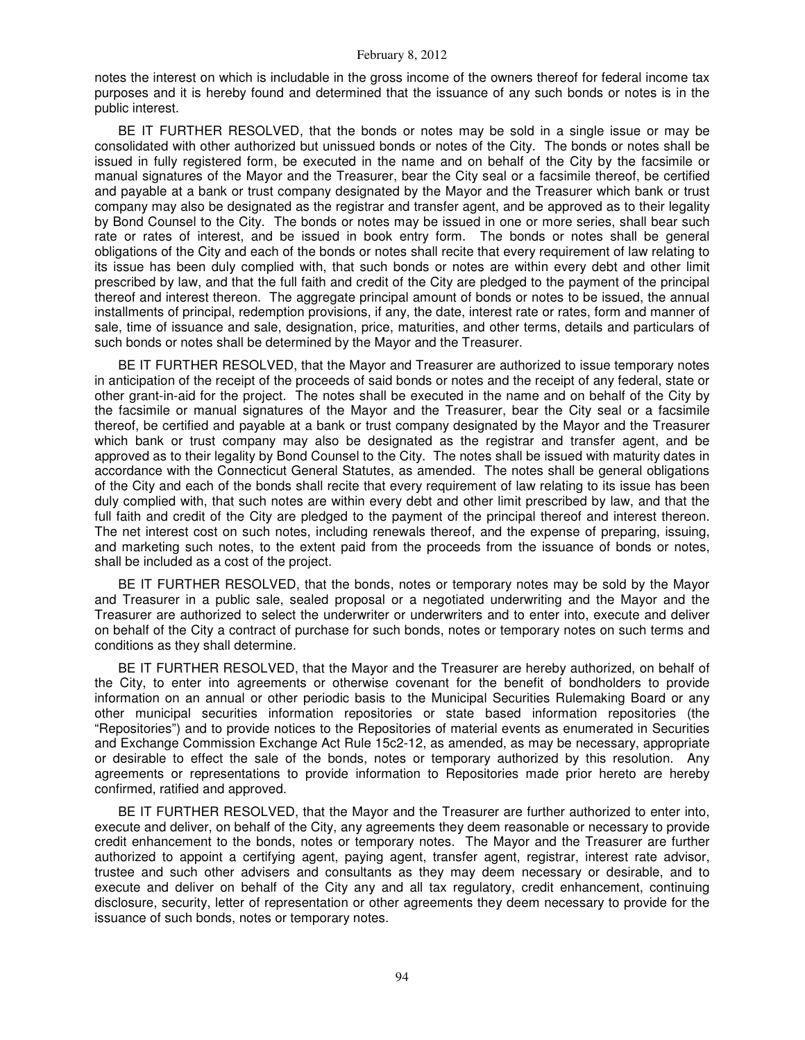notes the interest on which is includable in the gross income of the owners thereof for federal income tax purposes and it is hereby found and determined that the issuance of any such bonds or notes is in the public interest.

BE IT FURTHER RESOLVED, that the bonds or notes may be sold in a single issue or may be consolidated with other authorized but unissued bonds or notes of the City. The bonds or notes shall be issued in fully registered form, be executed in the name and on behalf of the City by the facsimile or manual signatures of the Mayor and the Treasurer, bear the City seal or a facsimile thereof, be certified and payable at a bank or trust company designated by the Mayor and the Treasurer which bank or trust company may also be designated as the registrar and transfer agent, and be approved as to their legality by Bond Counsel to the City. The bonds or notes may be issued in one or more series, shall bear such rate or rates of interest, and be issued in book entry form. The bonds or notes shall be general obligations of the City and each of the bonds or notes shall recite that every requirement of law relating to its issue has been duly complied with, that such bonds or notes are within every debt and other limit prescribed by law, and that the full faith and credit of the City are pledged to the payment of the principal thereof and interest thereon. The aggregate principal amount of bonds or notes to be issued, the annual installments of principal, redemption provisions, if any, the date, interest rate or rates, form and manner of sale, time of issuance and sale, designation, price, maturities, and other terms, details and particulars of such bonds or notes shall be determined by the Mayor and the Treasurer.

BE IT FURTHER RESOLVED, that the Mayor and Treasurer are authorized to issue temporary notes in anticipation of the receipt of the proceeds of said bonds or notes and the receipt of any federal, state or other grant-in-aid for the project. The notes shall be executed in the name and on behalf of the City by the facsimile or manual signatures of the Mayor and the Treasurer, bear the City seal or a facsimile thereof, be certified and payable at a bank or trust company designated by the Mayor and the Treasurer which bank or trust company may also be designated as the registrar and transfer agent, and be approved as to their legality by Bond Counsel to the City. The notes shall be issued with maturity dates in accordance with the Connecticut General Statutes, as amended. The notes shall be general obligations of the City and each of the bonds shall recite that every requirement of law relating to its issue has been duly complied with, that such notes are within every debt and other limit prescribed by law, and that the full faith and credit of the City are pledged to the payment of the principal thereof and interest thereon. The net interest cost on such notes, including renewals thereof, and the expense of preparing, issuing, and marketing such notes, to the extent paid from the proceeds from the issuance of bonds or notes, shall be included as a cost of the project.

BE IT FURTHER RESOLVED, that the bonds, notes or temporary notes may be sold by the Mayor and Treasurer in a public sale, sealed proposal or a negotiated underwriting and the Mayor and the Treasurer are authorized to select the underwriter or underwriters and to enter into, execute and deliver on behalf of the City a contract of purchase for such bonds, notes or temporary notes on such terms and conditions as they shall determine.

BE IT FURTHER RESOLVED, that the Mayor and the Treasurer are hereby authorized, on behalf of the City, to enter into agreements or otherwise covenant for the benefit of bondholders to provide information on an annual or other periodic basis to the Municipal Securities Rulemaking Board or any other municipal securities information repositories or state based information repositories (the "Repositories") and to provide notices to the Repositories of material events as enumerated in Securities and Exchange Commission Exchange Act Rule 15c2-12, as amended, as may be necessary, appropriate or desirable to effect the sale of the bonds, notes or temporary authorized by this resolution. Any agreements or representations to provide information to Repositories made prior hereto are hereby confirmed, ratified and approved.

BE IT FURTHER RESOLVED, that the Mayor and the Treasurer are further authorized to enter into, execute and deliver, on behalf of the City, any agreements they deem reasonable or necessary to provide credit enhancement to the bonds, notes or temporary notes. The Mayor and the Treasurer are further authorized to appoint a certifying agent, paying agent, transfer agent, registrar, interest rate advisor, trustee and such other advisers and consultants as they may deem necessary or desirable, and to execute and deliver on behalf of the City any and all tax regulatory, credit enhancement, continuing disclosure, security, letter of representation or other agreements they deem necessary to provide for the issuance of such bonds, notes or temporary notes.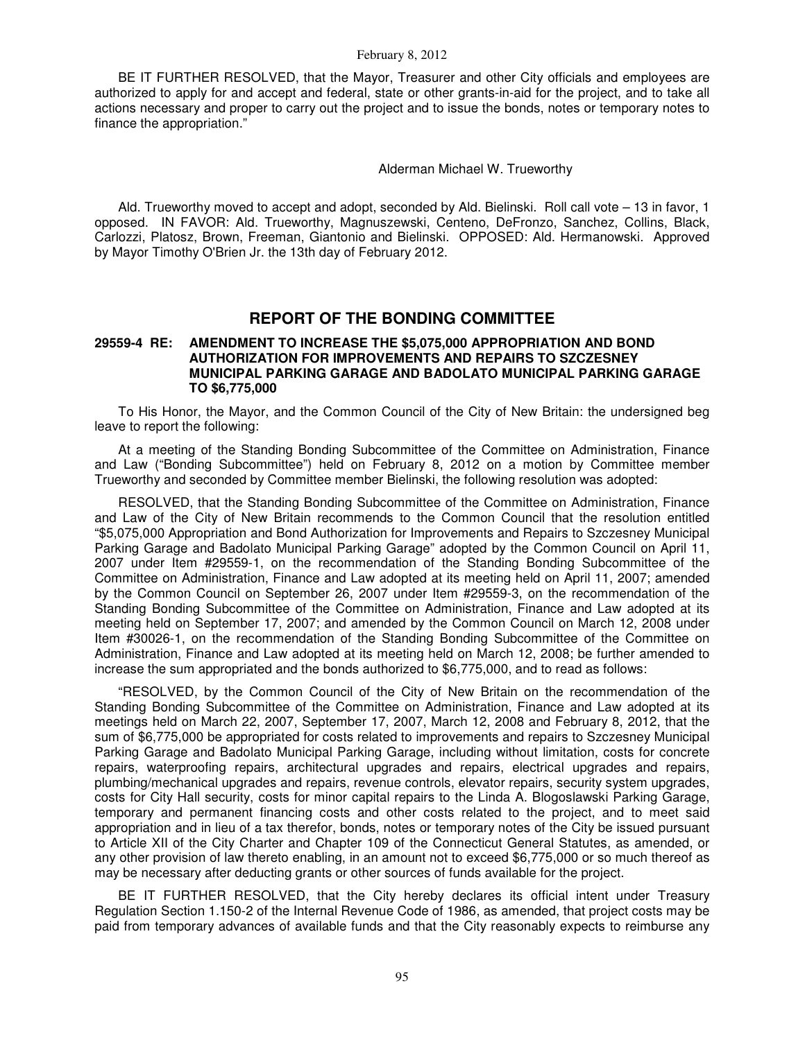BE IT FURTHER RESOLVED, that the Mayor, Treasurer and other City officials and employees are authorized to apply for and accept and federal, state or other grants-in-aid for the project, and to take all actions necessary and proper to carry out the project and to issue the bonds, notes or temporary notes to finance the appropriation."

## Alderman Michael W. Trueworthy

Ald. Trueworthy moved to accept and adopt, seconded by Ald. Bielinski. Roll call vote – 13 in favor, 1 opposed. IN FAVOR: Ald. Trueworthy, Magnuszewski, Centeno, DeFronzo, Sanchez, Collins, Black, Carlozzi, Platosz, Brown, Freeman, Giantonio and Bielinski. OPPOSED: Ald. Hermanowski. Approved by Mayor Timothy O'Brien Jr. the 13th day of February 2012.

# **REPORT OF THE BONDING COMMITTEE**

## **29559-4 RE: AMENDMENT TO INCREASE THE \$5,075,000 APPROPRIATION AND BOND AUTHORIZATION FOR IMPROVEMENTS AND REPAIRS TO SZCZESNEY MUNICIPAL PARKING GARAGE AND BADOLATO MUNICIPAL PARKING GARAGE TO \$6,775,000**

To His Honor, the Mayor, and the Common Council of the City of New Britain: the undersigned beg leave to report the following:

At a meeting of the Standing Bonding Subcommittee of the Committee on Administration, Finance and Law ("Bonding Subcommittee") held on February 8, 2012 on a motion by Committee member Trueworthy and seconded by Committee member Bielinski, the following resolution was adopted:

RESOLVED, that the Standing Bonding Subcommittee of the Committee on Administration, Finance and Law of the City of New Britain recommends to the Common Council that the resolution entitled "\$5,075,000 Appropriation and Bond Authorization for Improvements and Repairs to Szczesney Municipal Parking Garage and Badolato Municipal Parking Garage" adopted by the Common Council on April 11, 2007 under Item #29559-1, on the recommendation of the Standing Bonding Subcommittee of the Committee on Administration, Finance and Law adopted at its meeting held on April 11, 2007; amended by the Common Council on September 26, 2007 under Item #29559-3, on the recommendation of the Standing Bonding Subcommittee of the Committee on Administration, Finance and Law adopted at its meeting held on September 17, 2007; and amended by the Common Council on March 12, 2008 under Item #30026-1, on the recommendation of the Standing Bonding Subcommittee of the Committee on Administration, Finance and Law adopted at its meeting held on March 12, 2008; be further amended to increase the sum appropriated and the bonds authorized to \$6,775,000, and to read as follows:

"RESOLVED, by the Common Council of the City of New Britain on the recommendation of the Standing Bonding Subcommittee of the Committee on Administration, Finance and Law adopted at its meetings held on March 22, 2007, September 17, 2007, March 12, 2008 and February 8, 2012, that the sum of \$6,775,000 be appropriated for costs related to improvements and repairs to Szczesney Municipal Parking Garage and Badolato Municipal Parking Garage, including without limitation, costs for concrete repairs, waterproofing repairs, architectural upgrades and repairs, electrical upgrades and repairs, plumbing/mechanical upgrades and repairs, revenue controls, elevator repairs, security system upgrades, costs for City Hall security, costs for minor capital repairs to the Linda A. Blogoslawski Parking Garage, temporary and permanent financing costs and other costs related to the project, and to meet said appropriation and in lieu of a tax therefor, bonds, notes or temporary notes of the City be issued pursuant to Article XII of the City Charter and Chapter 109 of the Connecticut General Statutes, as amended, or any other provision of law thereto enabling, in an amount not to exceed \$6,775,000 or so much thereof as may be necessary after deducting grants or other sources of funds available for the project.

BE IT FURTHER RESOLVED, that the City hereby declares its official intent under Treasury Regulation Section 1.150-2 of the Internal Revenue Code of 1986, as amended, that project costs may be paid from temporary advances of available funds and that the City reasonably expects to reimburse any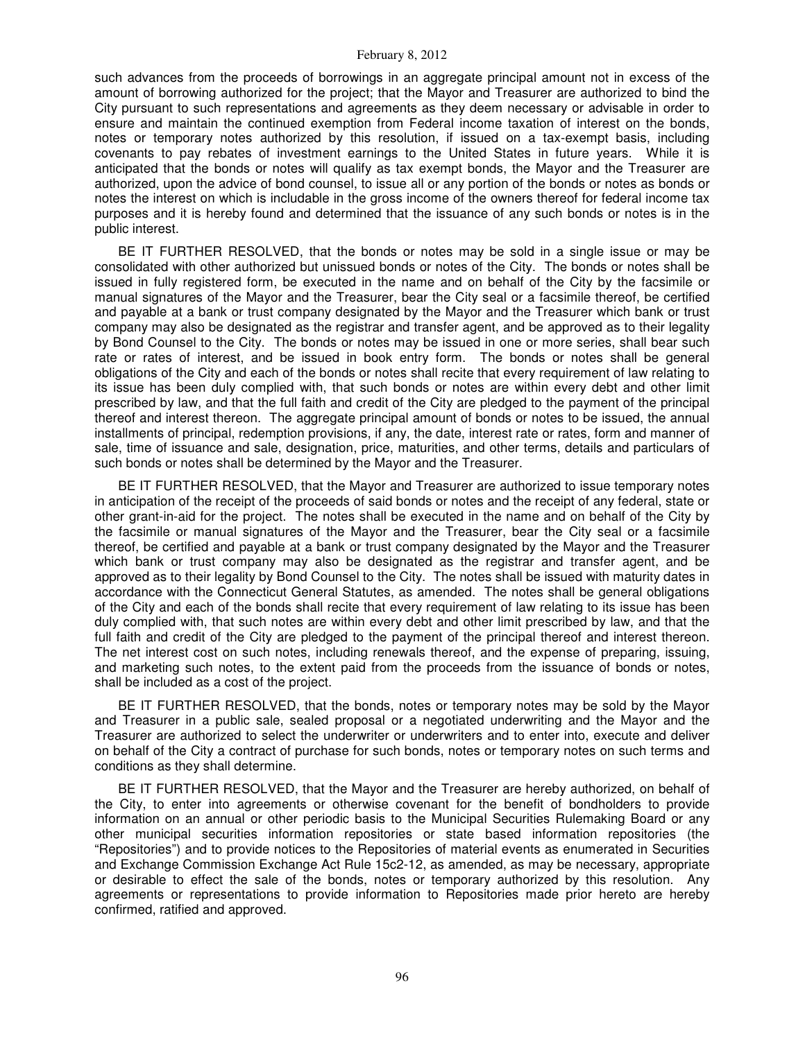such advances from the proceeds of borrowings in an aggregate principal amount not in excess of the amount of borrowing authorized for the project; that the Mayor and Treasurer are authorized to bind the City pursuant to such representations and agreements as they deem necessary or advisable in order to ensure and maintain the continued exemption from Federal income taxation of interest on the bonds, notes or temporary notes authorized by this resolution, if issued on a tax-exempt basis, including covenants to pay rebates of investment earnings to the United States in future years. While it is anticipated that the bonds or notes will qualify as tax exempt bonds, the Mayor and the Treasurer are authorized, upon the advice of bond counsel, to issue all or any portion of the bonds or notes as bonds or notes the interest on which is includable in the gross income of the owners thereof for federal income tax purposes and it is hereby found and determined that the issuance of any such bonds or notes is in the public interest.

BE IT FURTHER RESOLVED, that the bonds or notes may be sold in a single issue or may be consolidated with other authorized but unissued bonds or notes of the City. The bonds or notes shall be issued in fully registered form, be executed in the name and on behalf of the City by the facsimile or manual signatures of the Mayor and the Treasurer, bear the City seal or a facsimile thereof, be certified and payable at a bank or trust company designated by the Mayor and the Treasurer which bank or trust company may also be designated as the registrar and transfer agent, and be approved as to their legality by Bond Counsel to the City. The bonds or notes may be issued in one or more series, shall bear such rate or rates of interest, and be issued in book entry form. The bonds or notes shall be general obligations of the City and each of the bonds or notes shall recite that every requirement of law relating to its issue has been duly complied with, that such bonds or notes are within every debt and other limit prescribed by law, and that the full faith and credit of the City are pledged to the payment of the principal thereof and interest thereon. The aggregate principal amount of bonds or notes to be issued, the annual installments of principal, redemption provisions, if any, the date, interest rate or rates, form and manner of sale, time of issuance and sale, designation, price, maturities, and other terms, details and particulars of such bonds or notes shall be determined by the Mayor and the Treasurer.

BE IT FURTHER RESOLVED, that the Mayor and Treasurer are authorized to issue temporary notes in anticipation of the receipt of the proceeds of said bonds or notes and the receipt of any federal, state or other grant-in-aid for the project. The notes shall be executed in the name and on behalf of the City by the facsimile or manual signatures of the Mayor and the Treasurer, bear the City seal or a facsimile thereof, be certified and payable at a bank or trust company designated by the Mayor and the Treasurer which bank or trust company may also be designated as the registrar and transfer agent, and be approved as to their legality by Bond Counsel to the City. The notes shall be issued with maturity dates in accordance with the Connecticut General Statutes, as amended. The notes shall be general obligations of the City and each of the bonds shall recite that every requirement of law relating to its issue has been duly complied with, that such notes are within every debt and other limit prescribed by law, and that the full faith and credit of the City are pledged to the payment of the principal thereof and interest thereon. The net interest cost on such notes, including renewals thereof, and the expense of preparing, issuing, and marketing such notes, to the extent paid from the proceeds from the issuance of bonds or notes, shall be included as a cost of the project.

BE IT FURTHER RESOLVED, that the bonds, notes or temporary notes may be sold by the Mayor and Treasurer in a public sale, sealed proposal or a negotiated underwriting and the Mayor and the Treasurer are authorized to select the underwriter or underwriters and to enter into, execute and deliver on behalf of the City a contract of purchase for such bonds, notes or temporary notes on such terms and conditions as they shall determine.

BE IT FURTHER RESOLVED, that the Mayor and the Treasurer are hereby authorized, on behalf of the City, to enter into agreements or otherwise covenant for the benefit of bondholders to provide information on an annual or other periodic basis to the Municipal Securities Rulemaking Board or any other municipal securities information repositories or state based information repositories (the "Repositories") and to provide notices to the Repositories of material events as enumerated in Securities and Exchange Commission Exchange Act Rule 15c2-12, as amended, as may be necessary, appropriate or desirable to effect the sale of the bonds, notes or temporary authorized by this resolution. Any agreements or representations to provide information to Repositories made prior hereto are hereby confirmed, ratified and approved.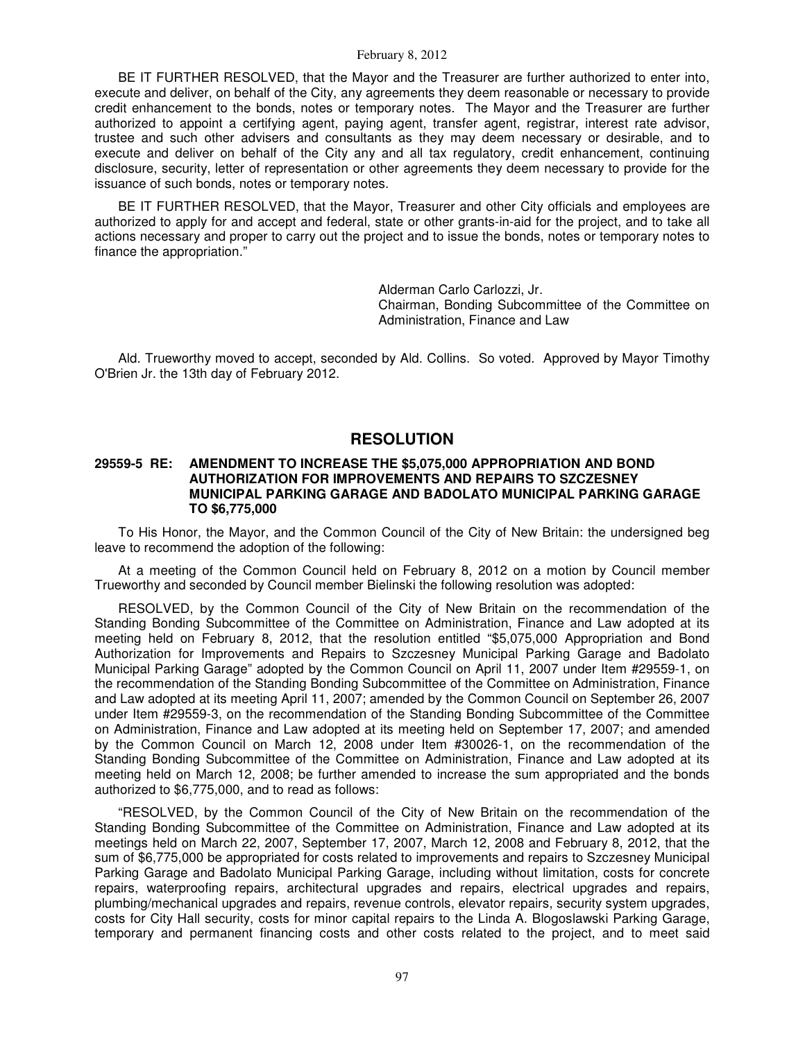BE IT FURTHER RESOLVED, that the Mayor and the Treasurer are further authorized to enter into, execute and deliver, on behalf of the City, any agreements they deem reasonable or necessary to provide credit enhancement to the bonds, notes or temporary notes. The Mayor and the Treasurer are further authorized to appoint a certifying agent, paying agent, transfer agent, registrar, interest rate advisor, trustee and such other advisers and consultants as they may deem necessary or desirable, and to execute and deliver on behalf of the City any and all tax regulatory, credit enhancement, continuing disclosure, security, letter of representation or other agreements they deem necessary to provide for the issuance of such bonds, notes or temporary notes.

BE IT FURTHER RESOLVED, that the Mayor, Treasurer and other City officials and employees are authorized to apply for and accept and federal, state or other grants-in-aid for the project, and to take all actions necessary and proper to carry out the project and to issue the bonds, notes or temporary notes to finance the appropriation."

> Alderman Carlo Carlozzi, Jr. Chairman, Bonding Subcommittee of the Committee on Administration, Finance and Law

Ald. Trueworthy moved to accept, seconded by Ald. Collins. So voted. Approved by Mayor Timothy O'Brien Jr. the 13th day of February 2012.

# **RESOLUTION**

## **29559-5 RE: AMENDMENT TO INCREASE THE \$5,075,000 APPROPRIATION AND BOND AUTHORIZATION FOR IMPROVEMENTS AND REPAIRS TO SZCZESNEY MUNICIPAL PARKING GARAGE AND BADOLATO MUNICIPAL PARKING GARAGE TO \$6,775,000**

To His Honor, the Mayor, and the Common Council of the City of New Britain: the undersigned beg leave to recommend the adoption of the following:

At a meeting of the Common Council held on February 8, 2012 on a motion by Council member Trueworthy and seconded by Council member Bielinski the following resolution was adopted:

RESOLVED, by the Common Council of the City of New Britain on the recommendation of the Standing Bonding Subcommittee of the Committee on Administration, Finance and Law adopted at its meeting held on February 8, 2012, that the resolution entitled "\$5,075,000 Appropriation and Bond Authorization for Improvements and Repairs to Szczesney Municipal Parking Garage and Badolato Municipal Parking Garage" adopted by the Common Council on April 11, 2007 under Item #29559-1, on the recommendation of the Standing Bonding Subcommittee of the Committee on Administration, Finance and Law adopted at its meeting April 11, 2007; amended by the Common Council on September 26, 2007 under Item #29559-3, on the recommendation of the Standing Bonding Subcommittee of the Committee on Administration, Finance and Law adopted at its meeting held on September 17, 2007; and amended by the Common Council on March 12, 2008 under Item #30026-1, on the recommendation of the Standing Bonding Subcommittee of the Committee on Administration, Finance and Law adopted at its meeting held on March 12, 2008; be further amended to increase the sum appropriated and the bonds authorized to \$6,775,000, and to read as follows:

"RESOLVED, by the Common Council of the City of New Britain on the recommendation of the Standing Bonding Subcommittee of the Committee on Administration, Finance and Law adopted at its meetings held on March 22, 2007, September 17, 2007, March 12, 2008 and February 8, 2012, that the sum of \$6,775,000 be appropriated for costs related to improvements and repairs to Szczesney Municipal Parking Garage and Badolato Municipal Parking Garage, including without limitation, costs for concrete repairs, waterproofing repairs, architectural upgrades and repairs, electrical upgrades and repairs, plumbing/mechanical upgrades and repairs, revenue controls, elevator repairs, security system upgrades, costs for City Hall security, costs for minor capital repairs to the Linda A. Blogoslawski Parking Garage, temporary and permanent financing costs and other costs related to the project, and to meet said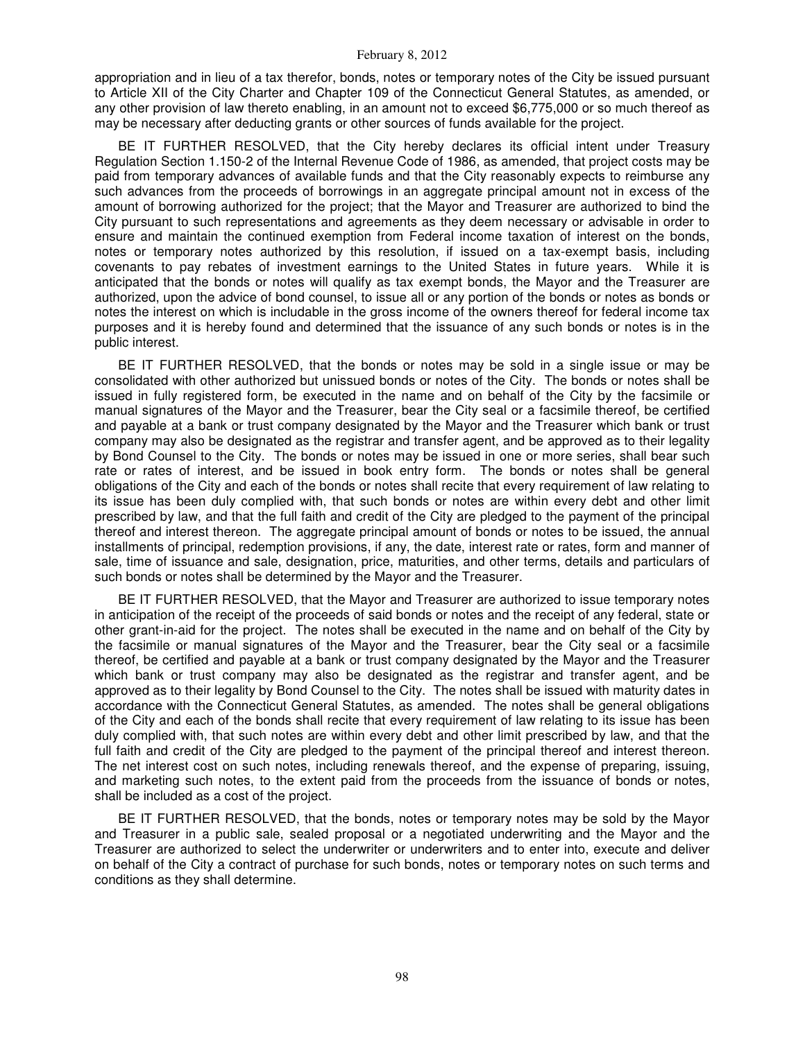appropriation and in lieu of a tax therefor, bonds, notes or temporary notes of the City be issued pursuant to Article XII of the City Charter and Chapter 109 of the Connecticut General Statutes, as amended, or any other provision of law thereto enabling, in an amount not to exceed \$6,775,000 or so much thereof as may be necessary after deducting grants or other sources of funds available for the project.

BE IT FURTHER RESOLVED, that the City hereby declares its official intent under Treasury Regulation Section 1.150-2 of the Internal Revenue Code of 1986, as amended, that project costs may be paid from temporary advances of available funds and that the City reasonably expects to reimburse any such advances from the proceeds of borrowings in an aggregate principal amount not in excess of the amount of borrowing authorized for the project; that the Mayor and Treasurer are authorized to bind the City pursuant to such representations and agreements as they deem necessary or advisable in order to ensure and maintain the continued exemption from Federal income taxation of interest on the bonds, notes or temporary notes authorized by this resolution, if issued on a tax-exempt basis, including covenants to pay rebates of investment earnings to the United States in future years. While it is anticipated that the bonds or notes will qualify as tax exempt bonds, the Mayor and the Treasurer are authorized, upon the advice of bond counsel, to issue all or any portion of the bonds or notes as bonds or notes the interest on which is includable in the gross income of the owners thereof for federal income tax purposes and it is hereby found and determined that the issuance of any such bonds or notes is in the public interest.

BE IT FURTHER RESOLVED, that the bonds or notes may be sold in a single issue or may be consolidated with other authorized but unissued bonds or notes of the City. The bonds or notes shall be issued in fully registered form, be executed in the name and on behalf of the City by the facsimile or manual signatures of the Mayor and the Treasurer, bear the City seal or a facsimile thereof, be certified and payable at a bank or trust company designated by the Mayor and the Treasurer which bank or trust company may also be designated as the registrar and transfer agent, and be approved as to their legality by Bond Counsel to the City. The bonds or notes may be issued in one or more series, shall bear such rate or rates of interest, and be issued in book entry form. The bonds or notes shall be general obligations of the City and each of the bonds or notes shall recite that every requirement of law relating to its issue has been duly complied with, that such bonds or notes are within every debt and other limit prescribed by law, and that the full faith and credit of the City are pledged to the payment of the principal thereof and interest thereon. The aggregate principal amount of bonds or notes to be issued, the annual installments of principal, redemption provisions, if any, the date, interest rate or rates, form and manner of sale, time of issuance and sale, designation, price, maturities, and other terms, details and particulars of such bonds or notes shall be determined by the Mayor and the Treasurer.

BE IT FURTHER RESOLVED, that the Mayor and Treasurer are authorized to issue temporary notes in anticipation of the receipt of the proceeds of said bonds or notes and the receipt of any federal, state or other grant-in-aid for the project. The notes shall be executed in the name and on behalf of the City by the facsimile or manual signatures of the Mayor and the Treasurer, bear the City seal or a facsimile thereof, be certified and payable at a bank or trust company designated by the Mayor and the Treasurer which bank or trust company may also be designated as the registrar and transfer agent, and be approved as to their legality by Bond Counsel to the City. The notes shall be issued with maturity dates in accordance with the Connecticut General Statutes, as amended. The notes shall be general obligations of the City and each of the bonds shall recite that every requirement of law relating to its issue has been duly complied with, that such notes are within every debt and other limit prescribed by law, and that the full faith and credit of the City are pledged to the payment of the principal thereof and interest thereon. The net interest cost on such notes, including renewals thereof, and the expense of preparing, issuing, and marketing such notes, to the extent paid from the proceeds from the issuance of bonds or notes, shall be included as a cost of the project.

BE IT FURTHER RESOLVED, that the bonds, notes or temporary notes may be sold by the Mayor and Treasurer in a public sale, sealed proposal or a negotiated underwriting and the Mayor and the Treasurer are authorized to select the underwriter or underwriters and to enter into, execute and deliver on behalf of the City a contract of purchase for such bonds, notes or temporary notes on such terms and conditions as they shall determine.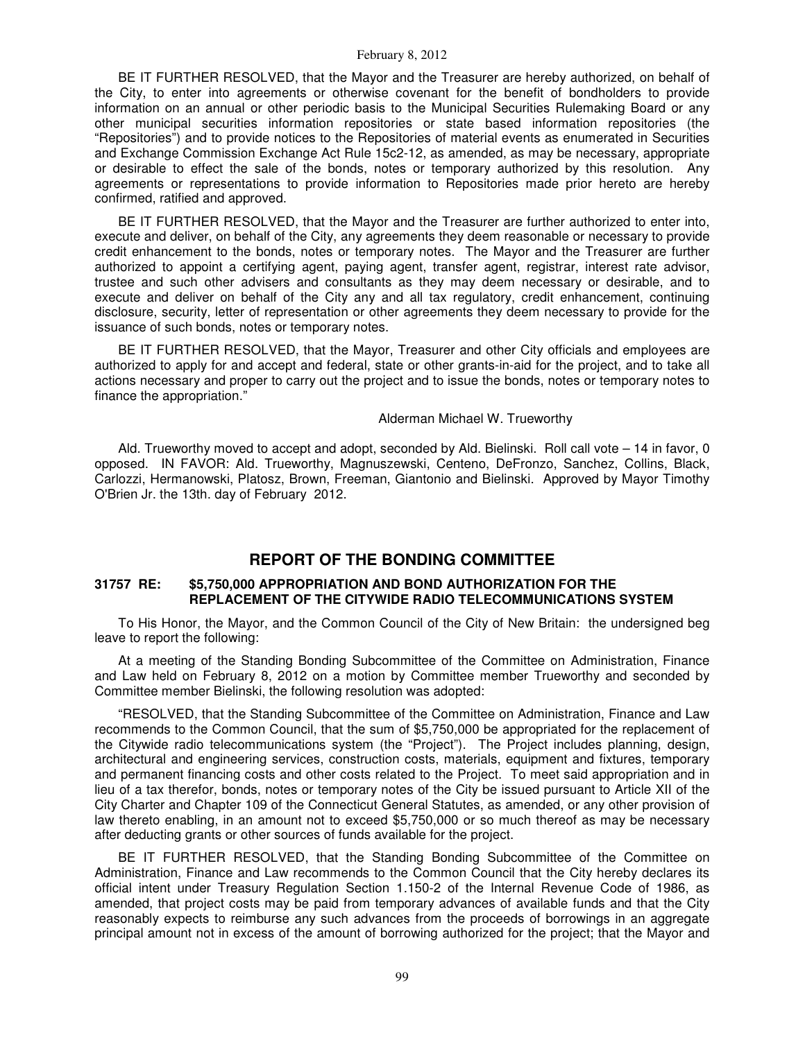BE IT FURTHER RESOLVED, that the Mayor and the Treasurer are hereby authorized, on behalf of the City, to enter into agreements or otherwise covenant for the benefit of bondholders to provide information on an annual or other periodic basis to the Municipal Securities Rulemaking Board or any other municipal securities information repositories or state based information repositories (the "Repositories") and to provide notices to the Repositories of material events as enumerated in Securities and Exchange Commission Exchange Act Rule 15c2-12, as amended, as may be necessary, appropriate or desirable to effect the sale of the bonds, notes or temporary authorized by this resolution. Any agreements or representations to provide information to Repositories made prior hereto are hereby confirmed, ratified and approved.

BE IT FURTHER RESOLVED, that the Mayor and the Treasurer are further authorized to enter into, execute and deliver, on behalf of the City, any agreements they deem reasonable or necessary to provide credit enhancement to the bonds, notes or temporary notes. The Mayor and the Treasurer are further authorized to appoint a certifying agent, paying agent, transfer agent, registrar, interest rate advisor, trustee and such other advisers and consultants as they may deem necessary or desirable, and to execute and deliver on behalf of the City any and all tax regulatory, credit enhancement, continuing disclosure, security, letter of representation or other agreements they deem necessary to provide for the issuance of such bonds, notes or temporary notes.

BE IT FURTHER RESOLVED, that the Mayor, Treasurer and other City officials and employees are authorized to apply for and accept and federal, state or other grants-in-aid for the project, and to take all actions necessary and proper to carry out the project and to issue the bonds, notes or temporary notes to finance the appropriation."

### Alderman Michael W. Trueworthy

Ald. Trueworthy moved to accept and adopt, seconded by Ald. Bielinski. Roll call vote – 14 in favor, 0 opposed. IN FAVOR: Ald. Trueworthy, Magnuszewski, Centeno, DeFronzo, Sanchez, Collins, Black, Carlozzi, Hermanowski, Platosz, Brown, Freeman, Giantonio and Bielinski. Approved by Mayor Timothy O'Brien Jr. the 13th. day of February 2012.

# **REPORT OF THE BONDING COMMITTEE**

## **31757 RE: \$5,750,000 APPROPRIATION AND BOND AUTHORIZATION FOR THE REPLACEMENT OF THE CITYWIDE RADIO TELECOMMUNICATIONS SYSTEM**

To His Honor, the Mayor, and the Common Council of the City of New Britain: the undersigned beg leave to report the following:

At a meeting of the Standing Bonding Subcommittee of the Committee on Administration, Finance and Law held on February 8, 2012 on a motion by Committee member Trueworthy and seconded by Committee member Bielinski, the following resolution was adopted:

"RESOLVED, that the Standing Subcommittee of the Committee on Administration, Finance and Law recommends to the Common Council, that the sum of \$5,750,000 be appropriated for the replacement of the Citywide radio telecommunications system (the "Project"). The Project includes planning, design, architectural and engineering services, construction costs, materials, equipment and fixtures, temporary and permanent financing costs and other costs related to the Project. To meet said appropriation and in lieu of a tax therefor, bonds, notes or temporary notes of the City be issued pursuant to Article XII of the City Charter and Chapter 109 of the Connecticut General Statutes, as amended, or any other provision of law thereto enabling, in an amount not to exceed \$5,750,000 or so much thereof as may be necessary after deducting grants or other sources of funds available for the project.

BE IT FURTHER RESOLVED, that the Standing Bonding Subcommittee of the Committee on Administration, Finance and Law recommends to the Common Council that the City hereby declares its official intent under Treasury Regulation Section 1.150-2 of the Internal Revenue Code of 1986, as amended, that project costs may be paid from temporary advances of available funds and that the City reasonably expects to reimburse any such advances from the proceeds of borrowings in an aggregate principal amount not in excess of the amount of borrowing authorized for the project; that the Mayor and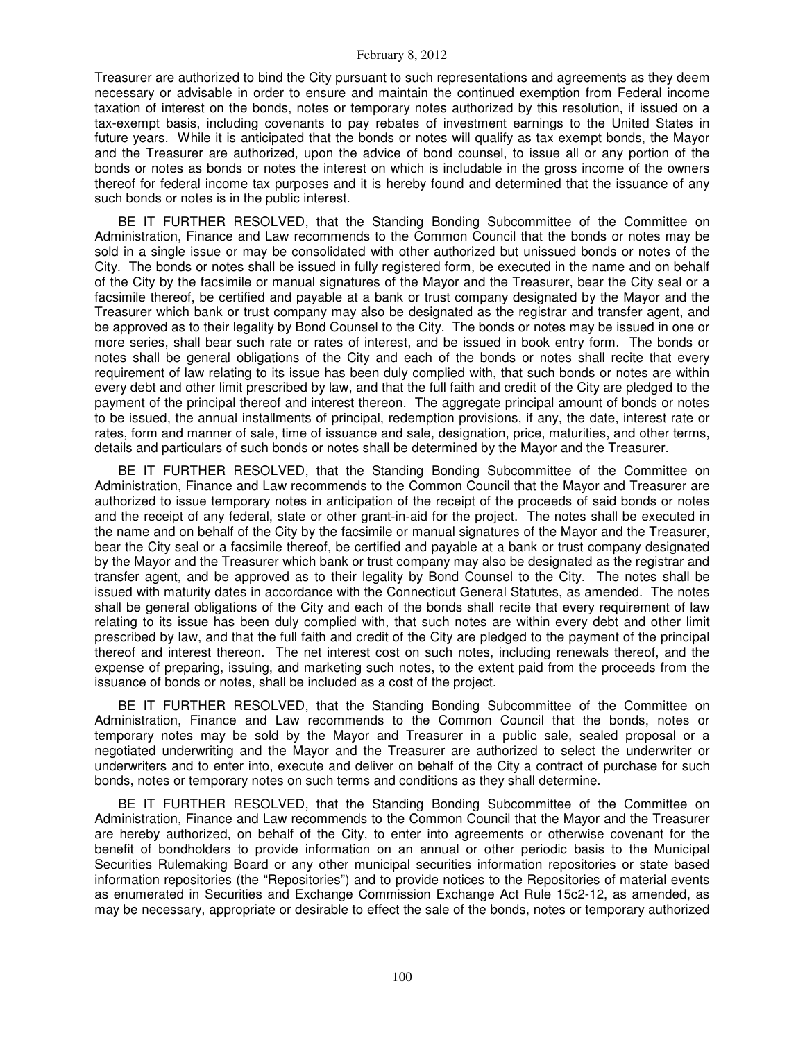Treasurer are authorized to bind the City pursuant to such representations and agreements as they deem necessary or advisable in order to ensure and maintain the continued exemption from Federal income taxation of interest on the bonds, notes or temporary notes authorized by this resolution, if issued on a tax-exempt basis, including covenants to pay rebates of investment earnings to the United States in future years. While it is anticipated that the bonds or notes will qualify as tax exempt bonds, the Mayor and the Treasurer are authorized, upon the advice of bond counsel, to issue all or any portion of the bonds or notes as bonds or notes the interest on which is includable in the gross income of the owners thereof for federal income tax purposes and it is hereby found and determined that the issuance of any such bonds or notes is in the public interest.

BE IT FURTHER RESOLVED, that the Standing Bonding Subcommittee of the Committee on Administration, Finance and Law recommends to the Common Council that the bonds or notes may be sold in a single issue or may be consolidated with other authorized but unissued bonds or notes of the City. The bonds or notes shall be issued in fully registered form, be executed in the name and on behalf of the City by the facsimile or manual signatures of the Mayor and the Treasurer, bear the City seal or a facsimile thereof, be certified and payable at a bank or trust company designated by the Mayor and the Treasurer which bank or trust company may also be designated as the registrar and transfer agent, and be approved as to their legality by Bond Counsel to the City. The bonds or notes may be issued in one or more series, shall bear such rate or rates of interest, and be issued in book entry form. The bonds or notes shall be general obligations of the City and each of the bonds or notes shall recite that every requirement of law relating to its issue has been duly complied with, that such bonds or notes are within every debt and other limit prescribed by law, and that the full faith and credit of the City are pledged to the payment of the principal thereof and interest thereon. The aggregate principal amount of bonds or notes to be issued, the annual installments of principal, redemption provisions, if any, the date, interest rate or rates, form and manner of sale, time of issuance and sale, designation, price, maturities, and other terms, details and particulars of such bonds or notes shall be determined by the Mayor and the Treasurer.

BE IT FURTHER RESOLVED, that the Standing Bonding Subcommittee of the Committee on Administration, Finance and Law recommends to the Common Council that the Mayor and Treasurer are authorized to issue temporary notes in anticipation of the receipt of the proceeds of said bonds or notes and the receipt of any federal, state or other grant-in-aid for the project. The notes shall be executed in the name and on behalf of the City by the facsimile or manual signatures of the Mayor and the Treasurer, bear the City seal or a facsimile thereof, be certified and payable at a bank or trust company designated by the Mayor and the Treasurer which bank or trust company may also be designated as the registrar and transfer agent, and be approved as to their legality by Bond Counsel to the City. The notes shall be issued with maturity dates in accordance with the Connecticut General Statutes, as amended. The notes shall be general obligations of the City and each of the bonds shall recite that every requirement of law relating to its issue has been duly complied with, that such notes are within every debt and other limit prescribed by law, and that the full faith and credit of the City are pledged to the payment of the principal thereof and interest thereon. The net interest cost on such notes, including renewals thereof, and the expense of preparing, issuing, and marketing such notes, to the extent paid from the proceeds from the issuance of bonds or notes, shall be included as a cost of the project.

BE IT FURTHER RESOLVED, that the Standing Bonding Subcommittee of the Committee on Administration, Finance and Law recommends to the Common Council that the bonds, notes or temporary notes may be sold by the Mayor and Treasurer in a public sale, sealed proposal or a negotiated underwriting and the Mayor and the Treasurer are authorized to select the underwriter or underwriters and to enter into, execute and deliver on behalf of the City a contract of purchase for such bonds, notes or temporary notes on such terms and conditions as they shall determine.

BE IT FURTHER RESOLVED, that the Standing Bonding Subcommittee of the Committee on Administration, Finance and Law recommends to the Common Council that the Mayor and the Treasurer are hereby authorized, on behalf of the City, to enter into agreements or otherwise covenant for the benefit of bondholders to provide information on an annual or other periodic basis to the Municipal Securities Rulemaking Board or any other municipal securities information repositories or state based information repositories (the "Repositories") and to provide notices to the Repositories of material events as enumerated in Securities and Exchange Commission Exchange Act Rule 15c2-12, as amended, as may be necessary, appropriate or desirable to effect the sale of the bonds, notes or temporary authorized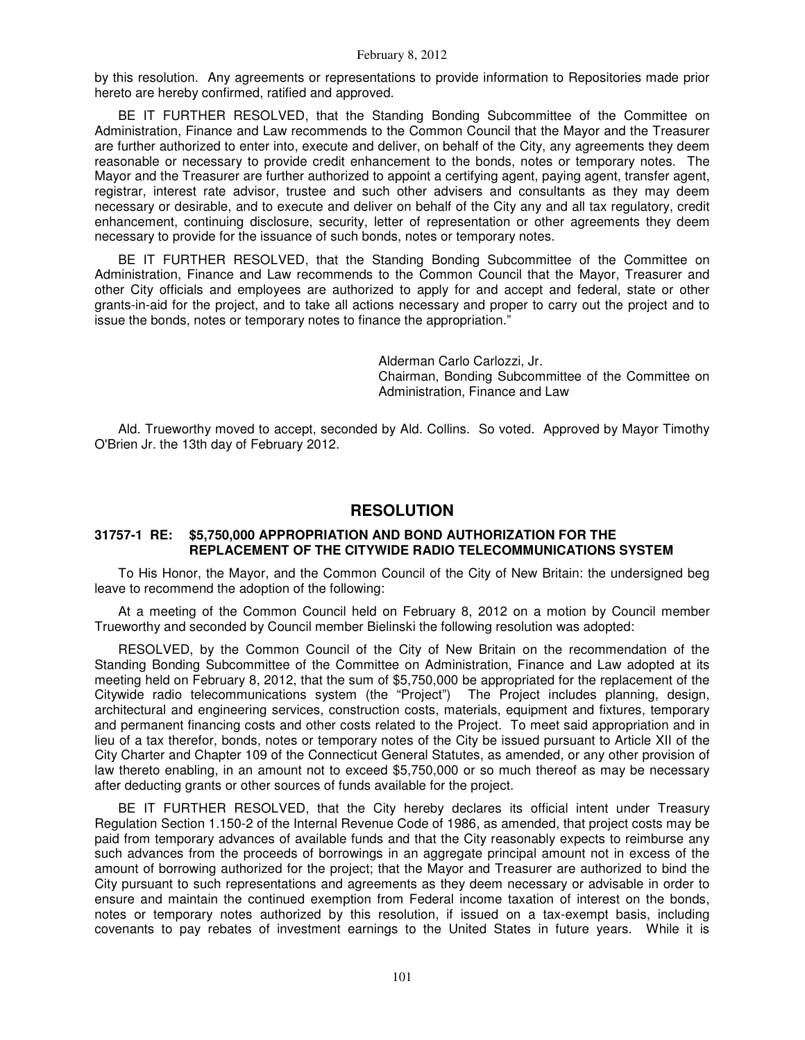by this resolution. Any agreements or representations to provide information to Repositories made prior hereto are hereby confirmed, ratified and approved.

BE IT FURTHER RESOLVED, that the Standing Bonding Subcommittee of the Committee on Administration, Finance and Law recommends to the Common Council that the Mayor and the Treasurer are further authorized to enter into, execute and deliver, on behalf of the City, any agreements they deem reasonable or necessary to provide credit enhancement to the bonds, notes or temporary notes. The Mayor and the Treasurer are further authorized to appoint a certifying agent, paying agent, transfer agent, registrar, interest rate advisor, trustee and such other advisers and consultants as they may deem necessary or desirable, and to execute and deliver on behalf of the City any and all tax regulatory, credit enhancement, continuing disclosure, security, letter of representation or other agreements they deem necessary to provide for the issuance of such bonds, notes or temporary notes.

BE IT FURTHER RESOLVED, that the Standing Bonding Subcommittee of the Committee on Administration, Finance and Law recommends to the Common Council that the Mayor, Treasurer and other City officials and employees are authorized to apply for and accept and federal, state or other grants-in-aid for the project, and to take all actions necessary and proper to carry out the project and to issue the bonds, notes or temporary notes to finance the appropriation."

> Alderman Carlo Carlozzi, Jr. Chairman, Bonding Subcommittee of the Committee on Administration, Finance and Law

Ald. Trueworthy moved to accept, seconded by Ald. Collins. So voted. Approved by Mayor Timothy O'Brien Jr. the 13th day of February 2012.

# **RESOLUTION**

## **31757-1 RE: \$5,750,000 APPROPRIATION AND BOND AUTHORIZATION FOR THE REPLACEMENT OF THE CITYWIDE RADIO TELECOMMUNICATIONS SYSTEM**

To His Honor, the Mayor, and the Common Council of the City of New Britain: the undersigned beg leave to recommend the adoption of the following:

At a meeting of the Common Council held on February 8, 2012 on a motion by Council member Trueworthy and seconded by Council member Bielinski the following resolution was adopted:

RESOLVED, by the Common Council of the City of New Britain on the recommendation of the Standing Bonding Subcommittee of the Committee on Administration, Finance and Law adopted at its meeting held on February 8, 2012, that the sum of \$5,750,000 be appropriated for the replacement of the Citywide radio telecommunications system (the "Project") The Project includes planning, design, architectural and engineering services, construction costs, materials, equipment and fixtures, temporary and permanent financing costs and other costs related to the Project. To meet said appropriation and in lieu of a tax therefor, bonds, notes or temporary notes of the City be issued pursuant to Article XII of the City Charter and Chapter 109 of the Connecticut General Statutes, as amended, or any other provision of law thereto enabling, in an amount not to exceed \$5,750,000 or so much thereof as may be necessary after deducting grants or other sources of funds available for the project.

BE IT FURTHER RESOLVED, that the City hereby declares its official intent under Treasury Regulation Section 1.150-2 of the Internal Revenue Code of 1986, as amended, that project costs may be paid from temporary advances of available funds and that the City reasonably expects to reimburse any such advances from the proceeds of borrowings in an aggregate principal amount not in excess of the amount of borrowing authorized for the project; that the Mayor and Treasurer are authorized to bind the City pursuant to such representations and agreements as they deem necessary or advisable in order to ensure and maintain the continued exemption from Federal income taxation of interest on the bonds, notes or temporary notes authorized by this resolution, if issued on a tax-exempt basis, including covenants to pay rebates of investment earnings to the United States in future years. While it is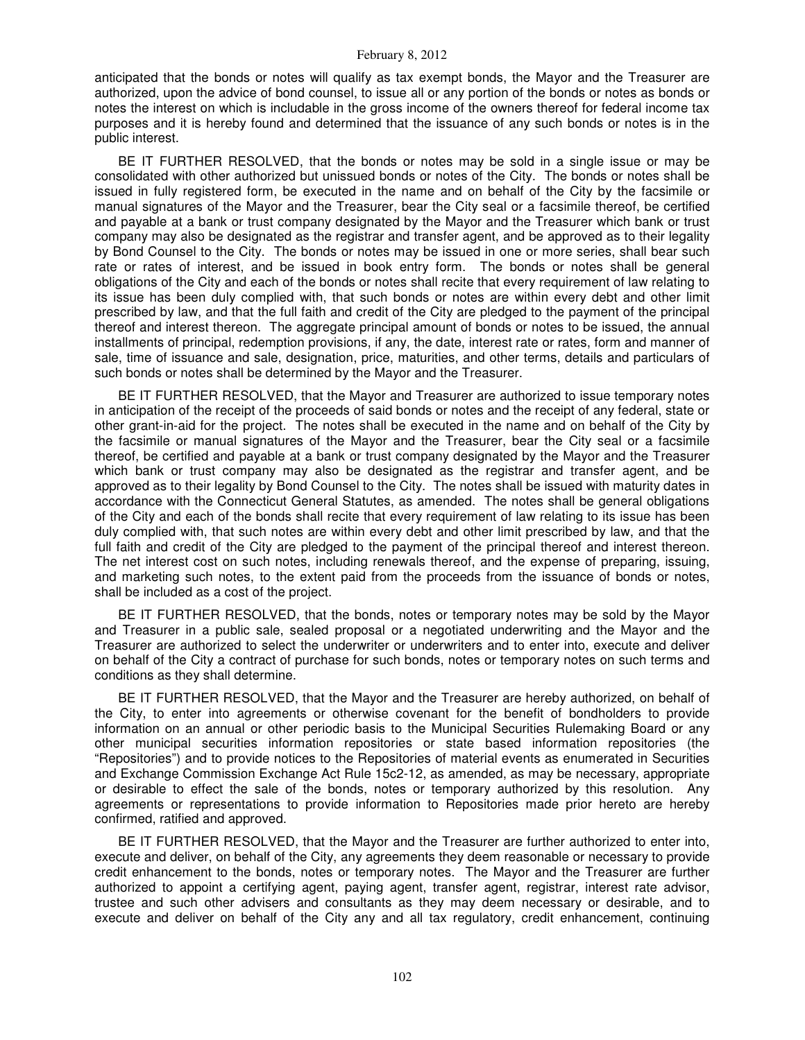anticipated that the bonds or notes will qualify as tax exempt bonds, the Mayor and the Treasurer are authorized, upon the advice of bond counsel, to issue all or any portion of the bonds or notes as bonds or notes the interest on which is includable in the gross income of the owners thereof for federal income tax purposes and it is hereby found and determined that the issuance of any such bonds or notes is in the public interest.

BE IT FURTHER RESOLVED, that the bonds or notes may be sold in a single issue or may be consolidated with other authorized but unissued bonds or notes of the City. The bonds or notes shall be issued in fully registered form, be executed in the name and on behalf of the City by the facsimile or manual signatures of the Mayor and the Treasurer, bear the City seal or a facsimile thereof, be certified and payable at a bank or trust company designated by the Mayor and the Treasurer which bank or trust company may also be designated as the registrar and transfer agent, and be approved as to their legality by Bond Counsel to the City. The bonds or notes may be issued in one or more series, shall bear such rate or rates of interest, and be issued in book entry form. The bonds or notes shall be general obligations of the City and each of the bonds or notes shall recite that every requirement of law relating to its issue has been duly complied with, that such bonds or notes are within every debt and other limit prescribed by law, and that the full faith and credit of the City are pledged to the payment of the principal thereof and interest thereon. The aggregate principal amount of bonds or notes to be issued, the annual installments of principal, redemption provisions, if any, the date, interest rate or rates, form and manner of sale, time of issuance and sale, designation, price, maturities, and other terms, details and particulars of such bonds or notes shall be determined by the Mayor and the Treasurer.

BE IT FURTHER RESOLVED, that the Mayor and Treasurer are authorized to issue temporary notes in anticipation of the receipt of the proceeds of said bonds or notes and the receipt of any federal, state or other grant-in-aid for the project. The notes shall be executed in the name and on behalf of the City by the facsimile or manual signatures of the Mayor and the Treasurer, bear the City seal or a facsimile thereof, be certified and payable at a bank or trust company designated by the Mayor and the Treasurer which bank or trust company may also be designated as the registrar and transfer agent, and be approved as to their legality by Bond Counsel to the City. The notes shall be issued with maturity dates in accordance with the Connecticut General Statutes, as amended. The notes shall be general obligations of the City and each of the bonds shall recite that every requirement of law relating to its issue has been duly complied with, that such notes are within every debt and other limit prescribed by law, and that the full faith and credit of the City are pledged to the payment of the principal thereof and interest thereon. The net interest cost on such notes, including renewals thereof, and the expense of preparing, issuing, and marketing such notes, to the extent paid from the proceeds from the issuance of bonds or notes, shall be included as a cost of the project.

BE IT FURTHER RESOLVED, that the bonds, notes or temporary notes may be sold by the Mayor and Treasurer in a public sale, sealed proposal or a negotiated underwriting and the Mayor and the Treasurer are authorized to select the underwriter or underwriters and to enter into, execute and deliver on behalf of the City a contract of purchase for such bonds, notes or temporary notes on such terms and conditions as they shall determine.

BE IT FURTHER RESOLVED, that the Mayor and the Treasurer are hereby authorized, on behalf of the City, to enter into agreements or otherwise covenant for the benefit of bondholders to provide information on an annual or other periodic basis to the Municipal Securities Rulemaking Board or any other municipal securities information repositories or state based information repositories (the "Repositories") and to provide notices to the Repositories of material events as enumerated in Securities and Exchange Commission Exchange Act Rule 15c2-12, as amended, as may be necessary, appropriate or desirable to effect the sale of the bonds, notes or temporary authorized by this resolution. Any agreements or representations to provide information to Repositories made prior hereto are hereby confirmed, ratified and approved.

BE IT FURTHER RESOLVED, that the Mayor and the Treasurer are further authorized to enter into, execute and deliver, on behalf of the City, any agreements they deem reasonable or necessary to provide credit enhancement to the bonds, notes or temporary notes. The Mayor and the Treasurer are further authorized to appoint a certifying agent, paying agent, transfer agent, registrar, interest rate advisor, trustee and such other advisers and consultants as they may deem necessary or desirable, and to execute and deliver on behalf of the City any and all tax regulatory, credit enhancement, continuing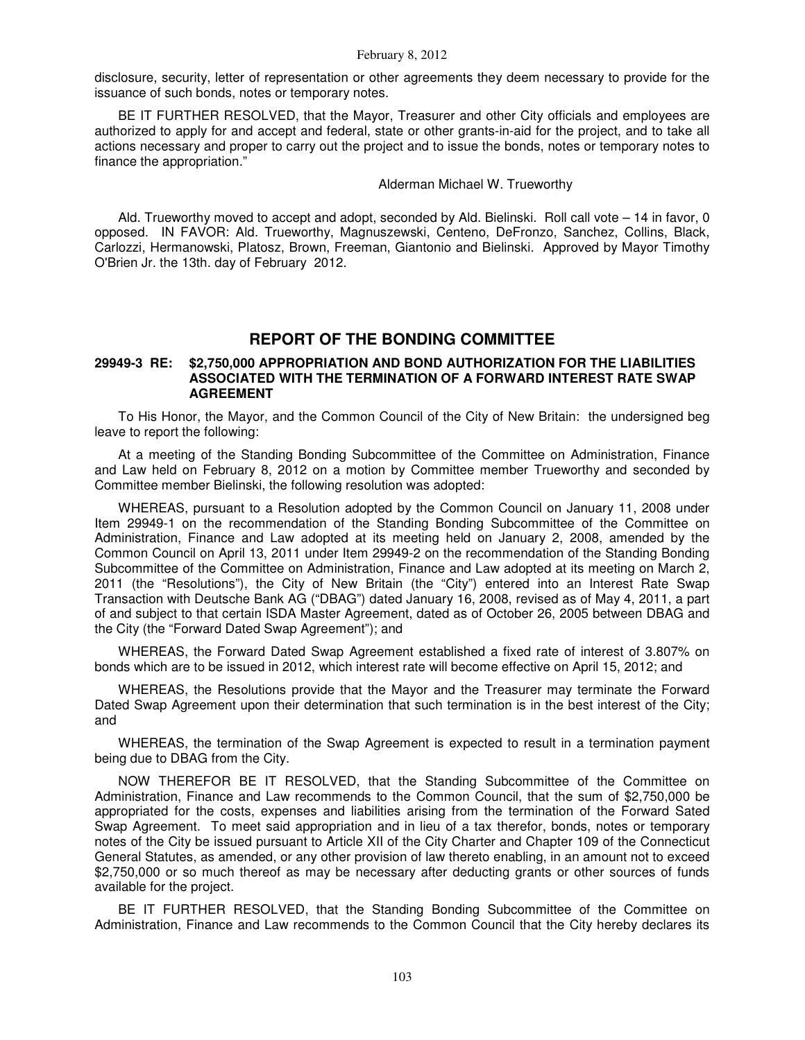disclosure, security, letter of representation or other agreements they deem necessary to provide for the issuance of such bonds, notes or temporary notes.

BE IT FURTHER RESOLVED, that the Mayor, Treasurer and other City officials and employees are authorized to apply for and accept and federal, state or other grants-in-aid for the project, and to take all actions necessary and proper to carry out the project and to issue the bonds, notes or temporary notes to finance the appropriation."

Alderman Michael W. Trueworthy

Ald. Trueworthy moved to accept and adopt, seconded by Ald. Bielinski. Roll call vote – 14 in favor, 0 opposed. IN FAVOR: Ald. Trueworthy, Magnuszewski, Centeno, DeFronzo, Sanchez, Collins, Black, Carlozzi, Hermanowski, Platosz, Brown, Freeman, Giantonio and Bielinski. Approved by Mayor Timothy O'Brien Jr. the 13th. day of February 2012.

# **REPORT OF THE BONDING COMMITTEE**

### **29949-3 RE: \$2,750,000 APPROPRIATION AND BOND AUTHORIZATION FOR THE LIABILITIES ASSOCIATED WITH THE TERMINATION OF A FORWARD INTEREST RATE SWAP AGREEMENT**

To His Honor, the Mayor, and the Common Council of the City of New Britain: the undersigned beg leave to report the following:

At a meeting of the Standing Bonding Subcommittee of the Committee on Administration, Finance and Law held on February 8, 2012 on a motion by Committee member Trueworthy and seconded by Committee member Bielinski, the following resolution was adopted:

WHEREAS, pursuant to a Resolution adopted by the Common Council on January 11, 2008 under Item 29949-1 on the recommendation of the Standing Bonding Subcommittee of the Committee on Administration, Finance and Law adopted at its meeting held on January 2, 2008, amended by the Common Council on April 13, 2011 under Item 29949-2 on the recommendation of the Standing Bonding Subcommittee of the Committee on Administration, Finance and Law adopted at its meeting on March 2, 2011 (the "Resolutions"), the City of New Britain (the "City") entered into an Interest Rate Swap Transaction with Deutsche Bank AG ("DBAG") dated January 16, 2008, revised as of May 4, 2011, a part of and subject to that certain ISDA Master Agreement, dated as of October 26, 2005 between DBAG and the City (the "Forward Dated Swap Agreement"); and

WHEREAS, the Forward Dated Swap Agreement established a fixed rate of interest of 3.807% on bonds which are to be issued in 2012, which interest rate will become effective on April 15, 2012; and

WHEREAS, the Resolutions provide that the Mayor and the Treasurer may terminate the Forward Dated Swap Agreement upon their determination that such termination is in the best interest of the City; and

WHEREAS, the termination of the Swap Agreement is expected to result in a termination payment being due to DBAG from the City.

NOW THEREFOR BE IT RESOLVED, that the Standing Subcommittee of the Committee on Administration, Finance and Law recommends to the Common Council, that the sum of \$2,750,000 be appropriated for the costs, expenses and liabilities arising from the termination of the Forward Sated Swap Agreement. To meet said appropriation and in lieu of a tax therefor, bonds, notes or temporary notes of the City be issued pursuant to Article XII of the City Charter and Chapter 109 of the Connecticut General Statutes, as amended, or any other provision of law thereto enabling, in an amount not to exceed \$2,750,000 or so much thereof as may be necessary after deducting grants or other sources of funds available for the project.

BE IT FURTHER RESOLVED, that the Standing Bonding Subcommittee of the Committee on Administration, Finance and Law recommends to the Common Council that the City hereby declares its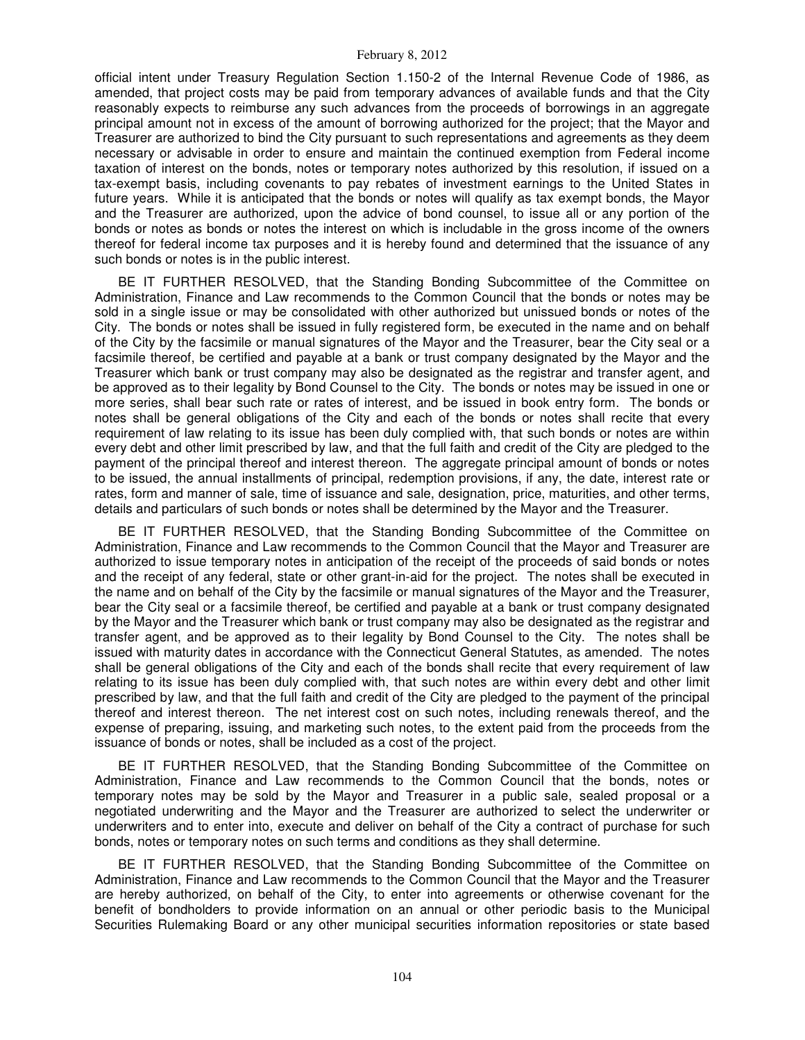official intent under Treasury Regulation Section 1.150-2 of the Internal Revenue Code of 1986, as amended, that project costs may be paid from temporary advances of available funds and that the City reasonably expects to reimburse any such advances from the proceeds of borrowings in an aggregate principal amount not in excess of the amount of borrowing authorized for the project; that the Mayor and Treasurer are authorized to bind the City pursuant to such representations and agreements as they deem necessary or advisable in order to ensure and maintain the continued exemption from Federal income taxation of interest on the bonds, notes or temporary notes authorized by this resolution, if issued on a tax-exempt basis, including covenants to pay rebates of investment earnings to the United States in future years. While it is anticipated that the bonds or notes will qualify as tax exempt bonds, the Mayor and the Treasurer are authorized, upon the advice of bond counsel, to issue all or any portion of the bonds or notes as bonds or notes the interest on which is includable in the gross income of the owners thereof for federal income tax purposes and it is hereby found and determined that the issuance of any such bonds or notes is in the public interest.

BE IT FURTHER RESOLVED, that the Standing Bonding Subcommittee of the Committee on Administration, Finance and Law recommends to the Common Council that the bonds or notes may be sold in a single issue or may be consolidated with other authorized but unissued bonds or notes of the City. The bonds or notes shall be issued in fully registered form, be executed in the name and on behalf of the City by the facsimile or manual signatures of the Mayor and the Treasurer, bear the City seal or a facsimile thereof, be certified and payable at a bank or trust company designated by the Mayor and the Treasurer which bank or trust company may also be designated as the registrar and transfer agent, and be approved as to their legality by Bond Counsel to the City. The bonds or notes may be issued in one or more series, shall bear such rate or rates of interest, and be issued in book entry form. The bonds or notes shall be general obligations of the City and each of the bonds or notes shall recite that every requirement of law relating to its issue has been duly complied with, that such bonds or notes are within every debt and other limit prescribed by law, and that the full faith and credit of the City are pledged to the payment of the principal thereof and interest thereon. The aggregate principal amount of bonds or notes to be issued, the annual installments of principal, redemption provisions, if any, the date, interest rate or rates, form and manner of sale, time of issuance and sale, designation, price, maturities, and other terms, details and particulars of such bonds or notes shall be determined by the Mayor and the Treasurer.

BE IT FURTHER RESOLVED, that the Standing Bonding Subcommittee of the Committee on Administration, Finance and Law recommends to the Common Council that the Mayor and Treasurer are authorized to issue temporary notes in anticipation of the receipt of the proceeds of said bonds or notes and the receipt of any federal, state or other grant-in-aid for the project. The notes shall be executed in the name and on behalf of the City by the facsimile or manual signatures of the Mayor and the Treasurer, bear the City seal or a facsimile thereof, be certified and payable at a bank or trust company designated by the Mayor and the Treasurer which bank or trust company may also be designated as the registrar and transfer agent, and be approved as to their legality by Bond Counsel to the City. The notes shall be issued with maturity dates in accordance with the Connecticut General Statutes, as amended. The notes shall be general obligations of the City and each of the bonds shall recite that every requirement of law relating to its issue has been duly complied with, that such notes are within every debt and other limit prescribed by law, and that the full faith and credit of the City are pledged to the payment of the principal thereof and interest thereon. The net interest cost on such notes, including renewals thereof, and the expense of preparing, issuing, and marketing such notes, to the extent paid from the proceeds from the issuance of bonds or notes, shall be included as a cost of the project.

BE IT FURTHER RESOLVED, that the Standing Bonding Subcommittee of the Committee on Administration, Finance and Law recommends to the Common Council that the bonds, notes or temporary notes may be sold by the Mayor and Treasurer in a public sale, sealed proposal or a negotiated underwriting and the Mayor and the Treasurer are authorized to select the underwriter or underwriters and to enter into, execute and deliver on behalf of the City a contract of purchase for such bonds, notes or temporary notes on such terms and conditions as they shall determine.

BE IT FURTHER RESOLVED, that the Standing Bonding Subcommittee of the Committee on Administration, Finance and Law recommends to the Common Council that the Mayor and the Treasurer are hereby authorized, on behalf of the City, to enter into agreements or otherwise covenant for the benefit of bondholders to provide information on an annual or other periodic basis to the Municipal Securities Rulemaking Board or any other municipal securities information repositories or state based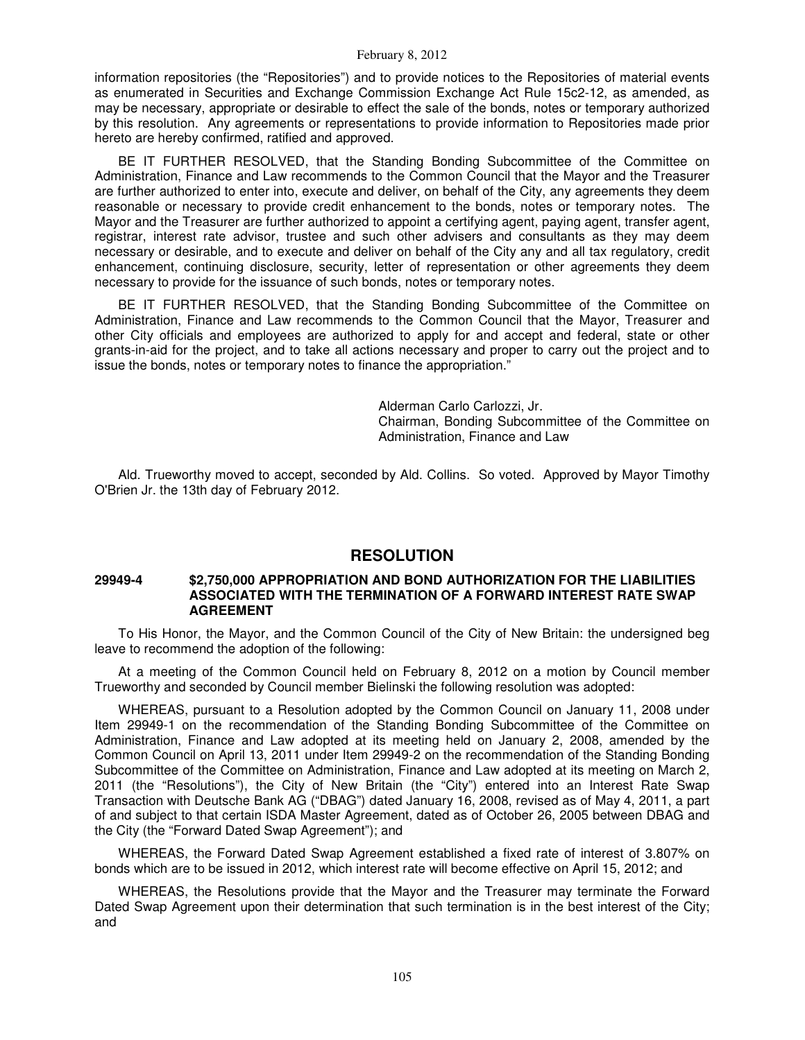information repositories (the "Repositories") and to provide notices to the Repositories of material events as enumerated in Securities and Exchange Commission Exchange Act Rule 15c2-12, as amended, as may be necessary, appropriate or desirable to effect the sale of the bonds, notes or temporary authorized by this resolution. Any agreements or representations to provide information to Repositories made prior hereto are hereby confirmed, ratified and approved.

BE IT FURTHER RESOLVED, that the Standing Bonding Subcommittee of the Committee on Administration, Finance and Law recommends to the Common Council that the Mayor and the Treasurer are further authorized to enter into, execute and deliver, on behalf of the City, any agreements they deem reasonable or necessary to provide credit enhancement to the bonds, notes or temporary notes. The Mayor and the Treasurer are further authorized to appoint a certifying agent, paying agent, transfer agent, registrar, interest rate advisor, trustee and such other advisers and consultants as they may deem necessary or desirable, and to execute and deliver on behalf of the City any and all tax regulatory, credit enhancement, continuing disclosure, security, letter of representation or other agreements they deem necessary to provide for the issuance of such bonds, notes or temporary notes.

BE IT FURTHER RESOLVED, that the Standing Bonding Subcommittee of the Committee on Administration, Finance and Law recommends to the Common Council that the Mayor, Treasurer and other City officials and employees are authorized to apply for and accept and federal, state or other grants-in-aid for the project, and to take all actions necessary and proper to carry out the project and to issue the bonds, notes or temporary notes to finance the appropriation."

> Alderman Carlo Carlozzi, Jr. Chairman, Bonding Subcommittee of the Committee on Administration, Finance and Law

Ald. Trueworthy moved to accept, seconded by Ald. Collins. So voted. Approved by Mayor Timothy O'Brien Jr. the 13th day of February 2012.

## **RESOLUTION**

## **29949-4 \$2,750,000 APPROPRIATION AND BOND AUTHORIZATION FOR THE LIABILITIES ASSOCIATED WITH THE TERMINATION OF A FORWARD INTEREST RATE SWAP AGREEMENT**

To His Honor, the Mayor, and the Common Council of the City of New Britain: the undersigned beg leave to recommend the adoption of the following:

At a meeting of the Common Council held on February 8, 2012 on a motion by Council member Trueworthy and seconded by Council member Bielinski the following resolution was adopted:

WHEREAS, pursuant to a Resolution adopted by the Common Council on January 11, 2008 under Item 29949-1 on the recommendation of the Standing Bonding Subcommittee of the Committee on Administration, Finance and Law adopted at its meeting held on January 2, 2008, amended by the Common Council on April 13, 2011 under Item 29949-2 on the recommendation of the Standing Bonding Subcommittee of the Committee on Administration, Finance and Law adopted at its meeting on March 2, 2011 (the "Resolutions"), the City of New Britain (the "City") entered into an Interest Rate Swap Transaction with Deutsche Bank AG ("DBAG") dated January 16, 2008, revised as of May 4, 2011, a part of and subject to that certain ISDA Master Agreement, dated as of October 26, 2005 between DBAG and the City (the "Forward Dated Swap Agreement"); and

WHEREAS, the Forward Dated Swap Agreement established a fixed rate of interest of 3.807% on bonds which are to be issued in 2012, which interest rate will become effective on April 15, 2012; and

WHEREAS, the Resolutions provide that the Mayor and the Treasurer may terminate the Forward Dated Swap Agreement upon their determination that such termination is in the best interest of the City; and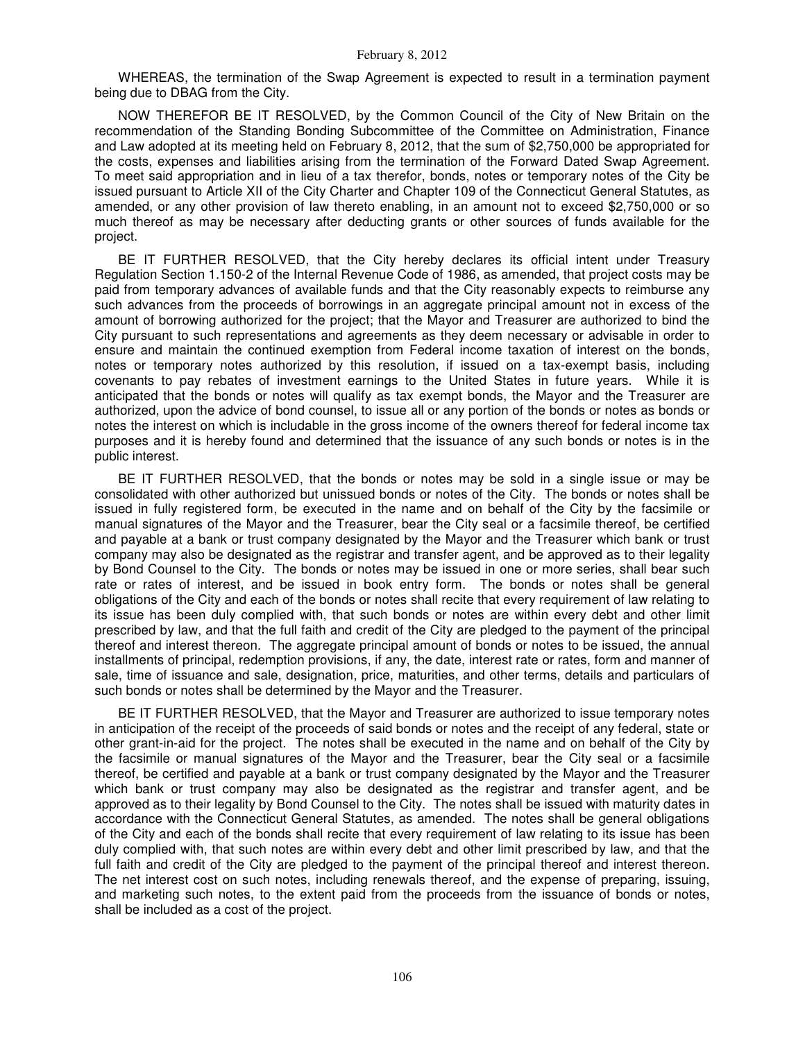WHEREAS, the termination of the Swap Agreement is expected to result in a termination payment being due to DBAG from the City.

NOW THEREFOR BE IT RESOLVED, by the Common Council of the City of New Britain on the recommendation of the Standing Bonding Subcommittee of the Committee on Administration, Finance and Law adopted at its meeting held on February 8, 2012, that the sum of \$2,750,000 be appropriated for the costs, expenses and liabilities arising from the termination of the Forward Dated Swap Agreement. To meet said appropriation and in lieu of a tax therefor, bonds, notes or temporary notes of the City be issued pursuant to Article XII of the City Charter and Chapter 109 of the Connecticut General Statutes, as amended, or any other provision of law thereto enabling, in an amount not to exceed \$2,750,000 or so much thereof as may be necessary after deducting grants or other sources of funds available for the project.

BE IT FURTHER RESOLVED, that the City hereby declares its official intent under Treasury Regulation Section 1.150-2 of the Internal Revenue Code of 1986, as amended, that project costs may be paid from temporary advances of available funds and that the City reasonably expects to reimburse any such advances from the proceeds of borrowings in an aggregate principal amount not in excess of the amount of borrowing authorized for the project; that the Mayor and Treasurer are authorized to bind the City pursuant to such representations and agreements as they deem necessary or advisable in order to ensure and maintain the continued exemption from Federal income taxation of interest on the bonds, notes or temporary notes authorized by this resolution, if issued on a tax-exempt basis, including covenants to pay rebates of investment earnings to the United States in future years. While it is anticipated that the bonds or notes will qualify as tax exempt bonds, the Mayor and the Treasurer are authorized, upon the advice of bond counsel, to issue all or any portion of the bonds or notes as bonds or notes the interest on which is includable in the gross income of the owners thereof for federal income tax purposes and it is hereby found and determined that the issuance of any such bonds or notes is in the public interest.

BE IT FURTHER RESOLVED, that the bonds or notes may be sold in a single issue or may be consolidated with other authorized but unissued bonds or notes of the City. The bonds or notes shall be issued in fully registered form, be executed in the name and on behalf of the City by the facsimile or manual signatures of the Mayor and the Treasurer, bear the City seal or a facsimile thereof, be certified and payable at a bank or trust company designated by the Mayor and the Treasurer which bank or trust company may also be designated as the registrar and transfer agent, and be approved as to their legality by Bond Counsel to the City. The bonds or notes may be issued in one or more series, shall bear such rate or rates of interest, and be issued in book entry form. The bonds or notes shall be general obligations of the City and each of the bonds or notes shall recite that every requirement of law relating to its issue has been duly complied with, that such bonds or notes are within every debt and other limit prescribed by law, and that the full faith and credit of the City are pledged to the payment of the principal thereof and interest thereon. The aggregate principal amount of bonds or notes to be issued, the annual installments of principal, redemption provisions, if any, the date, interest rate or rates, form and manner of sale, time of issuance and sale, designation, price, maturities, and other terms, details and particulars of such bonds or notes shall be determined by the Mayor and the Treasurer.

BE IT FURTHER RESOLVED, that the Mayor and Treasurer are authorized to issue temporary notes in anticipation of the receipt of the proceeds of said bonds or notes and the receipt of any federal, state or other grant-in-aid for the project. The notes shall be executed in the name and on behalf of the City by the facsimile or manual signatures of the Mayor and the Treasurer, bear the City seal or a facsimile thereof, be certified and payable at a bank or trust company designated by the Mayor and the Treasurer which bank or trust company may also be designated as the registrar and transfer agent, and be approved as to their legality by Bond Counsel to the City. The notes shall be issued with maturity dates in accordance with the Connecticut General Statutes, as amended. The notes shall be general obligations of the City and each of the bonds shall recite that every requirement of law relating to its issue has been duly complied with, that such notes are within every debt and other limit prescribed by law, and that the full faith and credit of the City are pledged to the payment of the principal thereof and interest thereon. The net interest cost on such notes, including renewals thereof, and the expense of preparing, issuing, and marketing such notes, to the extent paid from the proceeds from the issuance of bonds or notes, shall be included as a cost of the project.